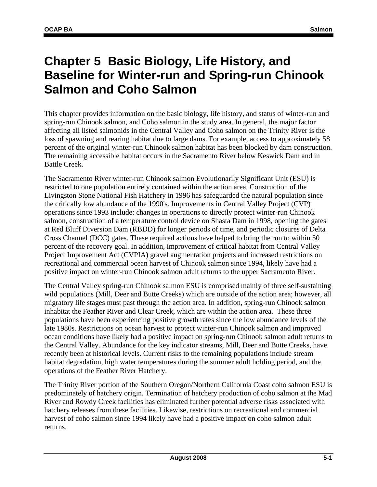# **Chapter 5 Basic Biology, Life History, and Baseline for Winter-run and Spring-run Chinook Salmon and Coho Salmon**

This chapter provides information on the basic biology, life history, and status of winter-run and spring-run Chinook salmon, and Coho salmon in the study area. In general, the major factor affecting all listed salmonids in the Central Valley and Coho salmon on the Trinity River is the loss of spawning and rearing habitat due to large dams. For example, access to approximately 58 percent of the original winter-run Chinook salmon habitat has been blocked by dam construction. The remaining accessible habitat occurs in the Sacramento River below Keswick Dam and in Battle Creek.

The Sacramento River winter-run Chinook salmon Evolutionarily Significant Unit (ESU) is restricted to one population entirely contained within the action area. Construction of the Livingston Stone National Fish Hatchery in 1996 has safeguarded the natural population since the critically low abundance of the 1990's. Improvements in Central Valley Project (CVP) operations since 1993 include: changes in operations to directly protect winter-run Chinook salmon, construction of a temperature control device on Shasta Dam in 1998, opening the gates at Red Bluff Diversion Dam (RBDD) for longer periods of time, and periodic closures of Delta Cross Channel (DCC) gates. These required actions have helped to bring the run to within 50 percent of the recovery goal. In addition, improvement of critical habitat from Central Valley Project Improvement Act (CVPIA) gravel augmentation projects and increased restrictions on recreational and commercial ocean harvest of Chinook salmon since 1994, likely have had a positive impact on winter-run Chinook salmon adult returns to the upper Sacramento River.

The Central Valley spring-run Chinook salmon ESU is comprised mainly of three self-sustaining wild populations (Mill, Deer and Butte Creeks) which are outside of the action area; however, all migratory life stages must past through the action area. In addition, spring-run Chinook salmon inhabitat the Feather River and Clear Creek, which are within the action area. These three populations have been experiencing positive growth rates since the low abundance levels of the late 1980s. Restrictions on ocean harvest to protect winter-run Chinook salmon and improved ocean conditions have likely had a positive impact on spring-run Chinook salmon adult returns to the Central Valley. Abundance for the key indicator streams, Mill, Deer and Butte Creeks, have recently been at historical levels. Current risks to the remaining populations include stream habitat degradation, high water temperatures during the summer adult holding period, and the operations of the Feather River Hatchery.

The Trinity River portion of the Southern Oregon/Northern California Coast coho salmon ESU is predominately of hatchery origin. Termination of hatchery production of coho salmon at the Mad River and Rowdy Creek facilities has eliminated further potential adverse risks associated with hatchery releases from these facilities. Likewise, restrictions on recreational and commercial harvest of coho salmon since 1994 likely have had a positive impact on coho salmon adult returns.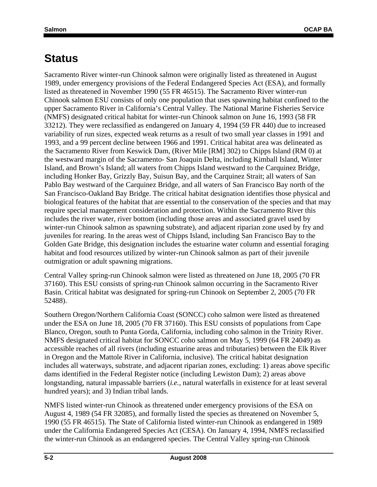# **Status**

Sacramento River winter-run Chinook salmon were originally listed as threatened in August 1989, under emergency provisions of the Federal Endangered Species Act (ESA), and formally listed as threatened in November 1990 (55 FR 46515). The Sacramento River winter-run Chinook salmon ESU consists of only one population that uses spawning habitat confined to the upper Sacramento River in California's Central Valley. The National Marine Fisheries Service (NMFS) designated critical habitat for winter-run Chinook salmon on June 16, 1993 (58 FR 33212). They were reclassified as endangered on January 4, 1994 (59 FR 440) due to increased variability of run sizes, expected weak returns as a result of two small year classes in 1991 and 1993, and a 99 percent decline between 1966 and 1991. Critical habitat area was delineated as the Sacramento River from Keswick Dam, (River Mile [RM] 302) to Chipps Island (RM 0) at the westward margin of the Sacramento- San Joaquin Delta, including Kimball Island, Winter Island, and Brown's Island; all waters from Chipps Island westward to the Carquinez Bridge, including Honker Bay, Grizzly Bay, Suisun Bay, and the Carquinez Strait; all waters of San Pablo Bay westward of the Carquinez Bridge, and all waters of San Francisco Bay north of the San Francisco-Oakland Bay Bridge. The critical habitat designation identifies those physical and biological features of the habitat that are essential to the conservation of the species and that may require special management consideration and protection. Within the Sacramento River this includes the river water, river bottom (including those areas and associated gravel used by winter-run Chinook salmon as spawning substrate), and adjacent riparian zone used by fry and juveniles for rearing. In the areas west of Chipps Island, including San Francisco Bay to the Golden Gate Bridge, this designation includes the estuarine water column and essential foraging habitat and food resources utilized by winter-run Chinook salmon as part of their juvenile outmigration or adult spawning migrations.

Central Valley spring-run Chinook salmon were listed as threatened on June 18, 2005 (70 FR 37160). This ESU consists of spring-run Chinook salmon occurring in the Sacramento River Basin. Critical habitat was designated for spring-run Chinook on September 2, 2005 (70 FR 52488).

Southern Oregon/Northern California Coast (SONCC) coho salmon were listed as threatened under the ESA on June 18, 2005 (70 FR 37160). This ESU consists of populations from Cape Blanco, Oregon, south to Punta Gorda, California, including coho salmon in the Trinity River. NMFS designated critical habitat for SONCC coho salmon on May 5, 1999 (64 FR 24049) as accessible reaches of all rivers (including estuarine areas and tributaries) between the Elk River in Oregon and the Mattole River in California, inclusive). The critical habitat designation includes all waterways, substrate, and adjacent riparian zones, excluding: 1) areas above specific dams identified in the Federal Register notice (including Lewiston Dam); 2) areas above longstanding, natural impassable barriers (*i.e.*, natural waterfalls in existence for at least several hundred years); and 3) Indian tribal lands.

NMFS listed winter-run Chinook as threatened under emergency provisions of the ESA on August 4, 1989 (54 FR 32085), and formally listed the species as threatened on November 5, 1990 (55 FR 46515). The State of California listed winter-run Chinook as endangered in 1989 under the California Endangered Species Act (CESA). On January 4, 1994, NMFS reclassified the winter-run Chinook as an endangered species. The Central Valley spring-run Chinook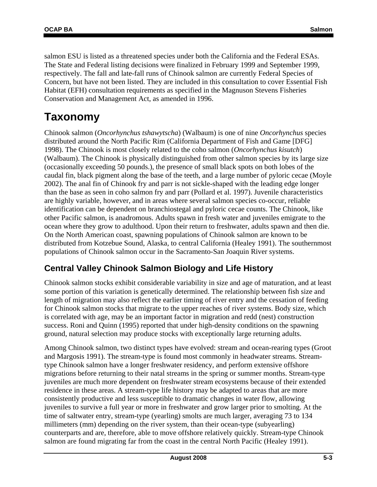salmon ESU is listed as a threatened species under both the California and the Federal ESAs. The State and Federal listing decisions were finalized in February 1999 and September 1999, respectively. The fall and late-fall runs of Chinook salmon are currently Federal Species of Concern, but have not been listed. They are included in this consultation to cover Essential Fish Habitat (EFH) consultation requirements as specified in the Magnuson Stevens Fisheries Conservation and Management Act, as amended in 1996.

# **Taxonomy**

Chinook salmon (*Oncorhynchus tshawytscha*) (Walbaum) is one of nine *Oncorhynchus* species distributed around the North Pacific Rim (California Department of Fish and Game [DFG] 1998). The Chinook is most closely related to the coho salmon (*Oncorhynchus kisutch*) (Walbaum). The Chinook is physically distinguished from other salmon species by its large size (occasionally exceeding 50 pounds.), the presence of small black spots on both lobes of the caudal fin, black pigment along the base of the teeth, and a large number of pyloric cecae (Moyle 2002). The anal fin of Chinook fry and parr is not sickle-shaped with the leading edge longer than the base as seen in coho salmon fry and parr (Pollard et al. 1997). Juvenile characteristics are highly variable, however, and in areas where several salmon species co-occur, reliable identification can be dependent on branchiostegal and pyloric cecae counts. The Chinook, like other Pacific salmon, is anadromous. Adults spawn in fresh water and juveniles emigrate to the ocean where they grow to adulthood. Upon their return to freshwater, adults spawn and then die. On the North American coast, spawning populations of Chinook salmon are known to be distributed from Kotzebue Sound, Alaska, to central California (Healey 1991). The southernmost populations of Chinook salmon occur in the Sacramento-San Joaquin River systems.

## **Central Valley Chinook Salmon Biology and Life History**

Chinook salmon stocks exhibit considerable variability in size and age of maturation, and at least some portion of this variation is genetically determined. The relationship between fish size and length of migration may also reflect the earlier timing of river entry and the cessation of feeding for Chinook salmon stocks that migrate to the upper reaches of river systems. Body size, which is correlated with age, may be an important factor in migration and redd (nest) construction success. Roni and Quinn (1995) reported that under high-density conditions on the spawning ground, natural selection may produce stocks with exceptionally large returning adults.

Among Chinook salmon, two distinct types have evolved: stream and ocean-rearing types (Groot and Margosis 1991). The stream-type is found most commonly in headwater streams. Streamtype Chinook salmon have a longer freshwater residency, and perform extensive offshore migrations before returning to their natal streams in the spring or summer months. Stream-type juveniles are much more dependent on freshwater stream ecosystems because of their extended residence in these areas. A stream-type life history may be adapted to areas that are more consistently productive and less susceptible to dramatic changes in water flow, allowing juveniles to survive a full year or more in freshwater and grow larger prior to smolting. At the time of saltwater entry, stream-type (yearling) smolts are much larger, averaging 73 to 134 millimeters (mm) depending on the river system, than their ocean-type (subyearling) counterparts and are, therefore, able to move offshore relatively quickly. Stream-type Chinook salmon are found migrating far from the coast in the central North Pacific (Healey 1991).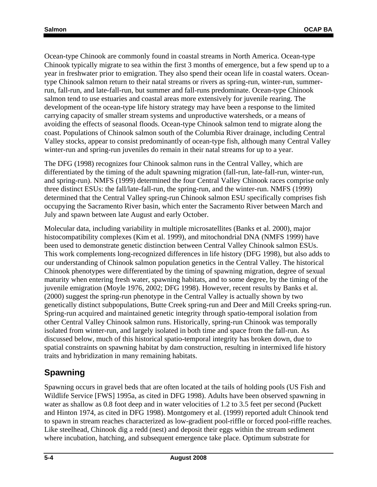Ocean-type Chinook are commonly found in coastal streams in North America. Ocean-type Chinook typically migrate to sea within the first 3 months of emergence, but a few spend up to a year in freshwater prior to emigration. They also spend their ocean life in coastal waters. Oceantype Chinook salmon return to their natal streams or rivers as spring-run, winter-run, summerrun, fall-run, and late-fall-run, but summer and fall-runs predominate. Ocean-type Chinook salmon tend to use estuaries and coastal areas more extensively for juvenile rearing. The development of the ocean-type life history strategy may have been a response to the limited carrying capacity of smaller stream systems and unproductive watersheds, or a means of avoiding the effects of seasonal floods. Ocean-type Chinook salmon tend to migrate along the coast. Populations of Chinook salmon south of the Columbia River drainage, including Central Valley stocks, appear to consist predominantly of ocean-type fish, although many Central Valley winter-run and spring-run juveniles do remain in their natal streams for up to a year.

The DFG (1998) recognizes four Chinook salmon runs in the Central Valley, which are differentiated by the timing of the adult spawning migration (fall-run, late-fall-run, winter-run, and spring-run). NMFS (1999) determined the four Central Valley Chinook races comprise only three distinct ESUs: the fall/late-fall-run, the spring-run, and the winter-run. NMFS (1999) determined that the Central Valley spring-run Chinook salmon ESU specifically comprises fish occupying the Sacramento River basin, which enter the Sacramento River between March and July and spawn between late August and early October.

Molecular data, including variability in multiple microsatellites (Banks et al. 2000), major histocompatibility complexes (Kim et al. 1999), and mitochondrial DNA (NMFS 1999) have been used to demonstrate genetic distinction between Central Valley Chinook salmon ESUs. This work complements long-recognized differences in life history (DFG 1998), but also adds to our understanding of Chinook salmon population genetics in the Central Valley. The historical Chinook phenotypes were differentiated by the timing of spawning migration, degree of sexual maturity when entering fresh water, spawning habitats, and to some degree, by the timing of the juvenile emigration (Moyle 1976, 2002; DFG 1998). However, recent results by Banks et al. (2000) suggest the spring-run phenotype in the Central Valley is actually shown by two genetically distinct subpopulations, Butte Creek spring-run and Deer and Mill Creeks spring-run. Spring-run acquired and maintained genetic integrity through spatio-temporal isolation from other Central Valley Chinook salmon runs. Historically, spring-run Chinook was temporally isolated from winter-run, and largely isolated in both time and space from the fall-run. As discussed below, much of this historical spatio-temporal integrity has broken down, due to spatial constraints on spawning habitat by dam construction, resulting in intermixed life history traits and hybridization in many remaining habitats.

## **Spawning**

Spawning occurs in gravel beds that are often located at the tails of holding pools (US Fish and Wildlife Service [FWS] 1995a, as cited in DFG 1998). Adults have been observed spawning in water as shallow as 0.8 foot deep and in water velocities of 1.2 to 3.5 feet per second (Puckett and Hinton 1974, as cited in DFG 1998). Montgomery et al. (1999) reported adult Chinook tend to spawn in stream reaches characterized as low-gradient pool-riffle or forced pool-riffle reaches. Like steelhead, Chinook dig a redd (nest) and deposit their eggs within the stream sediment where incubation, hatching, and subsequent emergence take place. Optimum substrate for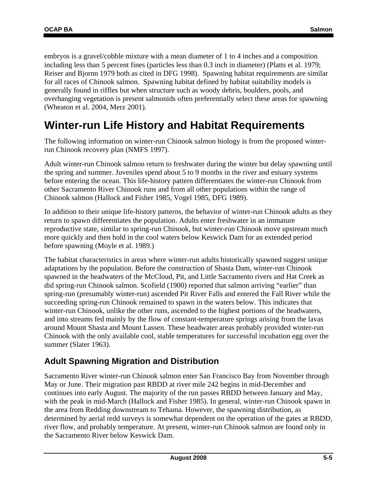embryos is a gravel/cobble mixture with a mean diameter of 1 to 4 inches and a composition including less than 5 percent fines (particles less than 0.3 inch in diameter) (Platts et al. 1979; Reiser and Bjornn 1979 both as cited in DFG 1998). Spawning habitat requirements are similar for all races of Chinook salmon. Spawning habitat defined by habitat suitability models is generally found in riffles but when structure such as woody debris, boulders, pools, and overhanging vegetation is present salmonids often preferentially select these areas for spawning (Wheaton et al. 2004, Merz 2001).

## **Winter-run Life History and Habitat Requirements**

The following information on winter-run Chinook salmon biology is from the proposed winterrun Chinook recovery plan (NMFS 1997).

Adult winter-run Chinook salmon return to freshwater during the winter but delay spawning until the spring and summer. Juveniles spend about 5 to 9 months in the river and estuary systems before entering the ocean. This life-history pattern differentiates the winter-run Chinook from other Sacramento River Chinook runs and from all other populations within the range of Chinook salmon (Hallock and Fisher 1985, Vogel 1985, DFG 1989).

In addition to their unique life-history patterns, the behavior of winter-run Chinook adults as they return to spawn differentiates the population. Adults enter freshwater in an immature reproductive state, similar to spring-run Chinook, but winter-run Chinook move upstream much more quickly and then hold in the cool waters below Keswick Dam for an extended period before spawning (Moyle et al. 1989.)

The habitat characteristics in areas where winter-run adults historically spawned suggest unique adaptations by the population. Before the construction of Shasta Dam, winter-run Chinook spawned in the headwaters of the McCloud, Pit, and Little Sacramento rivers and Hat Creek as did spring-run Chinook salmon. Scofield (1900) reported that salmon arriving "earlier" than spring-run (presumably winter-run) ascended Pit River Falls and entered the Fall River while the succeeding spring-run Chinook remained to spawn in the waters below. This indicates that winter-run Chinook, unlike the other runs, ascended to the highest portions of the headwaters, and into streams fed mainly by the flow of constant-temperature springs arising from the lavas around Mount Shasta and Mount Lassen. These headwater areas probably provided winter-run Chinook with the only available cool, stable temperatures for successful incubation egg over the summer (Slater 1963).

### **Adult Spawning Migration and Distribution**

Sacramento River winter-run Chinook salmon enter San Francisco Bay from November through May or June. Their migration past RBDD at river mile 242 begins in mid-December and continues into early August. The majority of the run passes RBDD between January and May, with the peak in mid-March (Hallock and Fisher 1985). In general, winter-run Chinook spawn in the area from Redding downstream to Tehama. However, the spawning distribution, as determined by aerial redd surveys is somewhat dependent on the operation of the gates at RBDD, river flow, and probably temperature. At present, winter-run Chinook salmon are found only in the Sacramento River below Keswick Dam.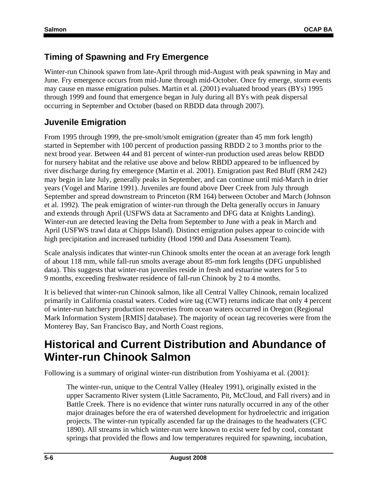## **Timing of Spawning and Fry Emergence**

Winter-run Chinook spawn from late-April through mid-August with peak spawning in May and June. Fry emergence occurs from mid-June through mid-October. Once fry emerge, storm events may cause en masse emigration pulses. Martin et al. (2001) evaluated brood years (BYs) 1995 through 1999 and found that emergence began in July during all BYs with peak dispersal occurring in September and October (based on RBDD data through 2007).

## **Juvenile Emigration**

From 1995 through 1999, the pre-smolt/smolt emigration (greater than 45 mm fork length) started in September with 100 percent of production passing RBDD 2 to 3 months prior to the next brood year. Between 44 and 81 percent of winter-run production used areas below RBDD for nursery habitat and the relative use above and below RBDD appeared to be influenced by river discharge during fry emergence (Martin et al. 2001). Emigration past Red Bluff (RM 242) may begin in late July, generally peaks in September, and can continue until mid-March in drier years (Vogel and Marine 1991). Juveniles are found above Deer Creek from July through September and spread downstream to Princeton (RM 164) between October and March (Johnson et al. 1992). The peak emigration of winter-run through the Delta generally occurs in January and extends through April (USFWS data at Sacramento and DFG data at Knights Landing). Winter-run are detected leaving the Delta from September to June with a peak in March and April (USFWS trawl data at Chipps Island). Distinct emigration pulses appear to coincide with high precipitation and increased turbidity (Hood 1990 and Data Assessment Team).

Scale analysis indicates that winter-run Chinook smolts enter the ocean at an average fork length of about 118 mm, while fall-run smolts average about 85-mm fork lengths (DFG unpublished data). This suggests that winter-run juveniles reside in fresh and estuarine waters for 5 to 9 months, exceeding freshwater residence of fall-run Chinook by 2 to 4 months.

It is believed that winter-run Chinook salmon, like all Central Valley Chinook, remain localized primarily in California coastal waters. Coded wire tag (CWT) returns indicate that only 4 percent of winter-run hatchery production recoveries from ocean waters occurred in Oregon (Regional Mark Information System [RMIS] database). The majority of ocean tag recoveries were from the Monterey Bay, San Francisco Bay, and North Coast regions.

# **Historical and Current Distribution and Abundance of Winter-run Chinook Salmon**

Following is a summary of original winter-run distribution from Yoshiyama et al. (2001):

The winter-run, unique to the Central Valley (Healey 1991), originally existed in the upper Sacramento River system (Little Sacramento, Pit, McCloud, and Fall rivers) and in Battle Creek. There is no evidence that winter runs naturally occurred in any of the other major drainages before the era of watershed development for hydroelectric and irrigation projects. The winter-run typically ascended far up the drainages to the headwaters (CFC 1890). All streams in which winter-run were known to exist were fed by cool, constant springs that provided the flows and low temperatures required for spawning, incubation,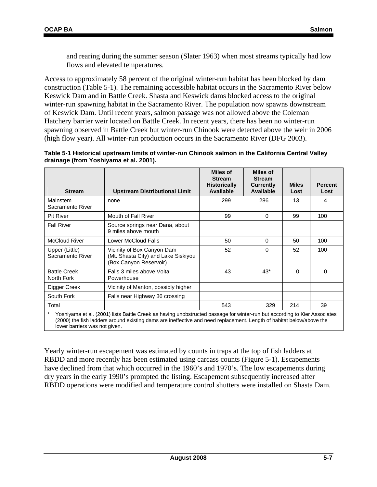lower barriers was not given.

and rearing during the summer season (Slater 1963) when most streams typically had low flows and elevated temperatures.

Access to approximately 58 percent of the original winter-run habitat has been blocked by dam construction (Table 5-1). The remaining accessible habitat occurs in the Sacramento River below Keswick Dam and in Battle Creek. Shasta and Keswick dams blocked access to the original winter-run spawning habitat in the Sacramento River. The population now spawns downstream of Keswick Dam. Until recent years, salmon passage was not allowed above the Coleman Hatchery barrier weir located on Battle Creek. In recent years, there has been no winter-run spawning observed in Battle Creek but winter-run Chinook were detected above the weir in 2006 (high flow year). All winter-run production occurs in the Sacramento River (DFG 2003).

| Table 5-1 Historical upstream limits of winter-run Chinook salmon in the California Central Valley |  |
|----------------------------------------------------------------------------------------------------|--|
| drainage (from Yoshiyama et al. 2001).                                                             |  |

| <b>Stream</b>                      | <b>Upstream Distributional Limit</b>                                                                                                                                                                                                              | Miles of<br><b>Stream</b><br><b>Historically</b><br><b>Available</b> | <b>Miles of</b><br><b>Stream</b><br><b>Currently</b><br><b>Available</b> | <b>Miles</b><br>Lost | <b>Percent</b><br>Lost |
|------------------------------------|---------------------------------------------------------------------------------------------------------------------------------------------------------------------------------------------------------------------------------------------------|----------------------------------------------------------------------|--------------------------------------------------------------------------|----------------------|------------------------|
| Mainstem<br>Sacramento River       | none                                                                                                                                                                                                                                              | 299                                                                  | 286                                                                      | 13                   | 4                      |
| <b>Pit River</b>                   | Mouth of Fall River                                                                                                                                                                                                                               | 99                                                                   | $\Omega$                                                                 | 99                   | 100                    |
| <b>Fall River</b>                  | Source springs near Dana, about<br>9 miles above mouth                                                                                                                                                                                            |                                                                      |                                                                          |                      |                        |
| <b>McCloud River</b>               | Lower McCloud Falls                                                                                                                                                                                                                               | 50                                                                   | $\Omega$                                                                 | 50                   | 100                    |
| Upper (Little)<br>Sacramento River | Vicinity of Box Canyon Dam<br>(Mt. Shasta City) and Lake Siskiyou<br>(Box Canyon Reservoir)                                                                                                                                                       | 52                                                                   | 0                                                                        | 52                   | 100                    |
| <b>Battle Creek</b><br>North Fork  | Falls 3 miles above Volta<br>Powerhouse                                                                                                                                                                                                           | 43                                                                   | $43*$                                                                    | $\Omega$             | $\mathbf{0}$           |
| Digger Creek                       | Vicinity of Manton, possibly higher                                                                                                                                                                                                               |                                                                      |                                                                          |                      |                        |
| South Fork                         | Falls near Highway 36 crossing                                                                                                                                                                                                                    |                                                                      |                                                                          |                      |                        |
| Total                              |                                                                                                                                                                                                                                                   | 543                                                                  | 329                                                                      | 214                  | 39                     |
| $\star$                            | Yoshiyama et al. (2001) lists Battle Creek as having unobstructed passage for winter-run but according to Kier Associates<br>(2000) the fish ladders around existing dams are ineffective and need replacement. Length of habitat below/above the |                                                                      |                                                                          |                      |                        |

Yearly winter-run escapement was estimated by counts in traps at the top of fish ladders at RBDD and more recently has been estimated using carcass counts (Figure 5-1). Escapements have declined from that which occurred in the 1960's and 1970's. The low escapements during dry years in the early 1990's prompted the listing. Escapement subsequently increased after RBDD operations were modified and temperature control shutters were installed on Shasta Dam.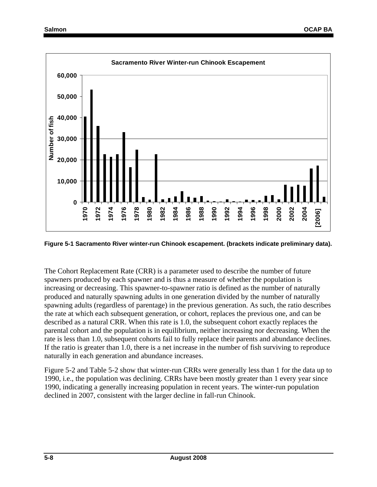

**Figure 5-1 Sacramento River winter-run Chinook escapement. (brackets indicate preliminary data).** 

The Cohort Replacement Rate (CRR) is a parameter used to describe the number of future spawners produced by each spawner and is thus a measure of whether the population is increasing or decreasing. This spawner-to-spawner ratio is defined as the number of naturally produced and naturally spawning adults in one generation divided by the number of naturally spawning adults (regardless of parentage) in the previous generation. As such, the ratio describes the rate at which each subsequent generation, or cohort, replaces the previous one, and can be described as a natural CRR. When this rate is 1.0, the subsequent cohort exactly replaces the parental cohort and the population is in equilibrium, neither increasing nor decreasing. When the rate is less than 1.0, subsequent cohorts fail to fully replace their parents and abundance declines. If the ratio is greater than 1.0, there is a net increase in the number of fish surviving to reproduce naturally in each generation and abundance increases.

Figure 5-2 and Table 5-2 show that winter-run CRRs were generally less than 1 for the data up to 1990, i.e., the population was declining. CRRs have been mostly greater than 1 every year since 1990, indicating a generally increasing population in recent years. The winter-run population declined in 2007, consistent with the larger decline in fall-run Chinook.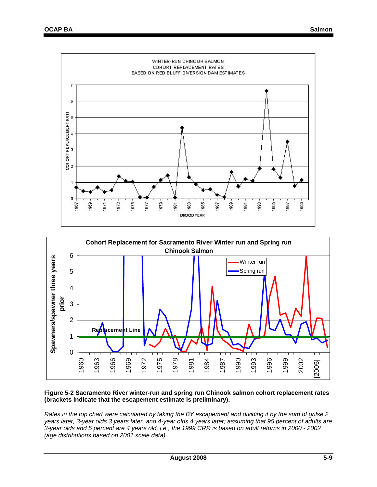



#### **Figure 5-2 Sacramento River winter-run and spring run Chinook salmon cohort replacement rates (brackets indicate that the escapement estimate is preliminary).**

*Rates in the top chart were calculated by taking the BY escapement and dividing it by the sum of grilse 2 years later, 3-year olds 3 years later, and 4-year olds 4 years later; assuming that 95 percent of adults are 3-year olds and 5 percent are 4 years old, i.e., the 1999 CRR is based on adult returns in 2000 - 2002 (age distributions based on 2001 scale data).*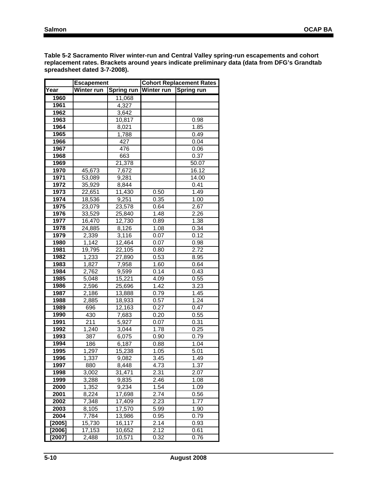**Table 5-2 Sacramento River winter-run and Central Valley spring-run escapements and cohort replacement rates. Brackets around years indicate preliminary data (data from DFG's Grandtab spreadsheet dated 3-7-2008).** 

|             | Escapement |            | <b>Cohort Replacement Rates</b> |            |  |  |  |  |
|-------------|------------|------------|---------------------------------|------------|--|--|--|--|
| <b>Tear</b> | Winter run | Spring run | Winter run                      | Spring run |  |  |  |  |
| 1960        |            | 11,068     |                                 |            |  |  |  |  |
| 1961        |            | 4,327      |                                 |            |  |  |  |  |
| 1962        |            | 3,642      |                                 |            |  |  |  |  |
| 1963        |            | 10,817     |                                 | 0.98       |  |  |  |  |
| 1964        |            | 8,021      |                                 | 1.85       |  |  |  |  |
| 1965        |            | 1,788      |                                 | 0.49       |  |  |  |  |
| 1966        |            | 427        |                                 | 0.04       |  |  |  |  |
| 1967        |            | 476        |                                 | 0.06       |  |  |  |  |
| 1968        |            | 663        |                                 | 0.37       |  |  |  |  |
| 1969        |            | 21,378     |                                 | 50.07      |  |  |  |  |
| 1970        | 45,673     | 7,672      |                                 | 16.12      |  |  |  |  |
| 1971        | 53,089     | 9,281      |                                 | 14.00      |  |  |  |  |
| 1972        | 35,929     | 8,844      |                                 | 0.41       |  |  |  |  |
| 1973        | 22,651     | 11,430     | 0.50                            | 1.49       |  |  |  |  |
| 1974        | 18,536     | 9,251      | 0.35                            | 1.00       |  |  |  |  |
| 1975        | 23,079     | 23,578     | 0.64                            | 2.67       |  |  |  |  |
| 1976        | 33,529     | 25,840     | 1.48                            | 2.26       |  |  |  |  |
| 1977        | 16,470     | 12,730     | 0.89                            | 1.38       |  |  |  |  |
| 1978        | 24,885     | 8,126      | 1.08                            | 0.34       |  |  |  |  |
| 1979        | 2,339      | 3,116      | 0.07                            | 0.12       |  |  |  |  |
| 1980        | 1,142      | 12,464     | 0.07                            | 0.98       |  |  |  |  |
| 1981        | 19,795     | 22,105     | 0.80                            | 2.72       |  |  |  |  |
| 1982        | 1,233      | 27,890     | 0.53                            | 8.95       |  |  |  |  |
| 1983        | 1,827      | 7,958      | 1.60                            | 0.64       |  |  |  |  |
| 1984        | 2,762      | 9,599      | 0.14                            | 0.43       |  |  |  |  |
| 1985        | 5,048      | 15,221     | 4.09                            | 0.55       |  |  |  |  |
| 1986        | 2,596      | 25,696     | 1.42                            | 3.23       |  |  |  |  |
| 1987        | 2,186      | 13,888     | 0.79                            | 1.45       |  |  |  |  |
| 1988        | 2,885      | 18,933     | 0.57                            | 1.24       |  |  |  |  |
| 1989        | 696        | 12,163     | 0.27                            | 0.47       |  |  |  |  |
| 1990        | 430        | 7,683      | 0.20                            | 0.55       |  |  |  |  |
| 1991        | 211        | 5,927      | 0.07                            | 0.31       |  |  |  |  |
| 1992        | 1,240      | 3,044      | 1.78                            | 0.25       |  |  |  |  |
| 1993        | 387        | 6,075      | 0.90                            | 0.79       |  |  |  |  |
| 1994        | 186        | 6,187      | 0.88                            | 1.04       |  |  |  |  |
| 1995        | 1,297      | 15,238     | 1.05                            | 5.01       |  |  |  |  |
| 1996        | 1,337      | 9,082      | 3.45                            | 1.49       |  |  |  |  |
| 1997        | 880        | 8,448      | 4.73                            | 1.37       |  |  |  |  |
| 1998        | 3,002      | 31,471     | 2.31                            | 2.07       |  |  |  |  |
| 1999        | 3,288      | 9,835      | 2.46                            | 1.08       |  |  |  |  |
| 2000        | 1,352      | 9,234      | 1.54                            | 1.09       |  |  |  |  |
| 2001        | 8,224      | 17,698     | 2.74                            | 0.56       |  |  |  |  |
| 2002        | 7,348      | 17,409     | 2.23                            | 1.77       |  |  |  |  |
| 2003        | 8,105      | 17,570     | 5.99                            | 1.90       |  |  |  |  |
| 2004        | 7,784      | 13,986     | 0.95                            | 0.79       |  |  |  |  |
| [2005]      | 15,730     | 16,117     | 2.14                            | 0.93       |  |  |  |  |
| [2006]      | 17,153     | 10,652     | 2.12                            | 0.61       |  |  |  |  |
| $[2007]$    | 2,488      | 10,571     | 0.32                            | 0.76       |  |  |  |  |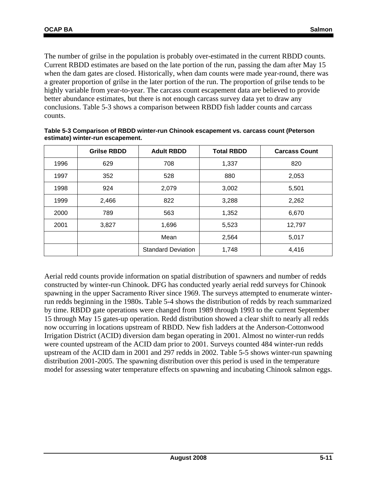The number of grilse in the population is probably over-estimated in the current RBDD counts. Current RBDD estimates are based on the late portion of the run, passing the dam after May 15 when the dam gates are closed. Historically, when dam counts were made year-round, there was a greater proportion of grilse in the later portion of the run. The proportion of grilse tends to be highly variable from year-to-year. The carcass count escapement data are believed to provide better abundance estimates, but there is not enough carcass survey data yet to draw any conclusions. Table 5-3 shows a comparison between RBDD fish ladder counts and carcass counts.

|      | <b>Grilse RBDD</b> | <b>Adult RBDD</b>         | <b>Total RBDD</b> | <b>Carcass Count</b> |
|------|--------------------|---------------------------|-------------------|----------------------|
| 1996 | 629                | 708                       | 1,337             | 820                  |
| 1997 | 352                | 528                       | 880               | 2,053                |
| 1998 | 924                | 2,079                     | 3,002             | 5,501                |
| 1999 | 2,466              | 822                       | 3,288             | 2,262                |
| 2000 | 789                | 563                       | 1,352             | 6,670                |
| 2001 | 3,827              | 1,696                     | 5,523             | 12,797               |
|      |                    | Mean                      | 2,564             | 5,017                |
|      |                    | <b>Standard Deviation</b> | 1,748             | 4,416                |

**Table 5-3 Comparison of RBDD winter-run Chinook escapement vs. carcass count (Peterson estimate) winter-run escapement.** 

Aerial redd counts provide information on spatial distribution of spawners and number of redds constructed by winter-run Chinook. DFG has conducted yearly aerial redd surveys for Chinook spawning in the upper Sacramento River since 1969. The surveys attempted to enumerate winterrun redds beginning in the 1980s. Table 5-4 shows the distribution of redds by reach summarized by time. RBDD gate operations were changed from 1989 through 1993 to the current September 15 through May 15 gates-up operation. Redd distribution showed a clear shift to nearly all redds now occurring in locations upstream of RBDD. New fish ladders at the Anderson-Cottonwood Irrigation District (ACID) diversion dam began operating in 2001. Almost no winter-run redds were counted upstream of the ACID dam prior to 2001. Surveys counted 484 winter-run redds upstream of the ACID dam in 2001 and 297 redds in 2002. Table 5-5 shows winter-run spawning distribution 2001-2005. The spawning distribution over this period is used in the temperature model for assessing water temperature effects on spawning and incubating Chinook salmon eggs.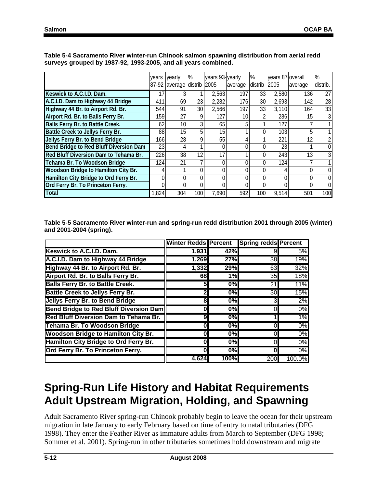|                                               | vears | yearly               | %               | years 93-yearly |         | $\%$    | vears 87 overall |         | $\%$           |
|-----------------------------------------------|-------|----------------------|-----------------|-----------------|---------|---------|------------------|---------|----------------|
|                                               | 87-92 | average distrib 2005 |                 |                 | average | distrib | 2005             | average | distrib.       |
| Keswick to A.C.I.D. Dam.                      | 17    |                      |                 | 2,563           | 197     | 33      | 2,580            | 136     | 27             |
| A.C.I.D. Dam to Highway 44 Bridge             | 411   | 69                   | 23              | 2,282           | 176     | 30      | 2,693            | 142     | 28             |
| Highway 44 Br. to Airport Rd. Br.             | 544   | 91                   | 30 <sub>l</sub> | 2,566           | 197     | 33      | 3,110            | 164     | 33             |
| Airport Rd. Br. to Balls Ferry Br.            | 159   | 27                   | 9               | 127             | 10      | n       | 286              | 15      | $\overline{3}$ |
| <b>Balls Ferry Br. to Battle Creek.</b>       | 62    | 10 <sup>1</sup>      |                 | 65              | 5       |         | 127              |         |                |
| <b>Battle Creek to Jellys Ferry Br.</b>       | 88    | 15 <sup>1</sup>      | 5               | 15              |         | 0       | 103              | 5       |                |
| Jellys Ferry Br. to Bend Bridge               | 166   | 28                   | 9               | 55              | 4       |         | 221              | 12      | $\overline{a}$ |
| <b>Bend Bridge to Red Bluff Diversion Dam</b> | 23    | 4                    |                 | 0               | 0       |         | 23               |         | $\overline{0}$ |
| Red Bluff Diversion Dam to Tehama Br.         | 226   | 38                   | 12              | 17              |         |         | 243              | 13      | $\overline{3}$ |
| Tehama Br. To Woodson Bridge                  | 124   | 21                   |                 | 0               | 0       |         | 124              |         |                |
| <b>Woodson Bridge to Hamilton City Br.</b>    |       |                      |                 | 0               | 0       |         |                  |         | 0              |
| Hamilton City Bridge to Ord Ferry Br.         |       | 0                    |                 | 0               | 0       |         |                  |         | $\overline{0}$ |
| Ord Ferry Br. To Princeton Ferry.             | 0     | 0                    |                 | 0               | 0       |         | Λ                |         | $\overline{0}$ |
| <b>Total</b>                                  | 1,824 | 304                  | 100             | 7,690           | 592     | 100     | 9,514            | 501     | 100            |

**Table 5-4 Sacramento River winter-run Chinook salmon spawning distribution from aerial redd surveys grouped by 1987-92, 1993-2005, and all years combined.** 

**Table 5-5 Sacramento River winter-run and spring-run redd distribution 2001 through 2005 (winter) and 2001-2004 (spring).** 

|                                              | Winter Redds Percent Spring redds Percent |                  |                 |        |
|----------------------------------------------|-------------------------------------------|------------------|-----------------|--------|
| Keswick to A.C.I.D. Dam.                     | 1,931                                     | 42%              | 91              | 5%     |
| A.C.I.D. Dam to Highway 44 Bridge            | 1,269                                     | 27%              | 38              | 19%    |
| Highway 44 Br. to Airport Rd. Br.            | 1,332                                     | 29%              | 63              | 32%    |
| Airport Rd. Br. to Balls Ferry Br.           | 68                                        | 1%               | 35              | 18%    |
| <b>Balls Ferry Br. to Battle Creek.</b>      | 51                                        | 0%               | 21              | 11%    |
| <b>Battle Creek to Jellys Ferry Br.</b>      | 2                                         | $\overline{0\%}$ | 30 <sup>l</sup> | 15%    |
| Jellys Ferry Br. to Bend Bridge              | 8                                         | 0%               | 31              | 2%     |
| Bend Bridge to Red Bluff Diversion Dam       | 0                                         | 0%               | ΩI              | $0\%$  |
| <b>Red Bluff Diversion Dam to Tehama Br.</b> | 9                                         | 0%               |                 | 1%     |
| <b>Tehama Br. To Woodson Bridge</b>          | 0                                         | 0%               | ΩI              | $0\%$  |
| <b>Woodson Bridge to Hamilton City Br.</b>   | 0                                         | 0%               | 01              | $0\%$  |
| Hamilton City Bridge to Ord Ferry Br.        | 0                                         | 0%               | ΩI              | 0%     |
| Ord Ferry Br. To Princeton Ferry.            | 0                                         | 0%               | 0l              | 0%     |
|                                              | 4,624                                     | 100%             | 200             | 100.0% |

# **Spring-Run Life History and Habitat Requirements Adult Upstream Migration, Holding, and Spawning**

Adult Sacramento River spring-run Chinook probably begin to leave the ocean for their upstream migration in late January to early February based on time of entry to natal tributaries (DFG 1998). They enter the Feather River as immature adults from March to September (DFG 1998; Sommer et al. 2001). Spring-run in other tributaries sometimes hold downstream and migrate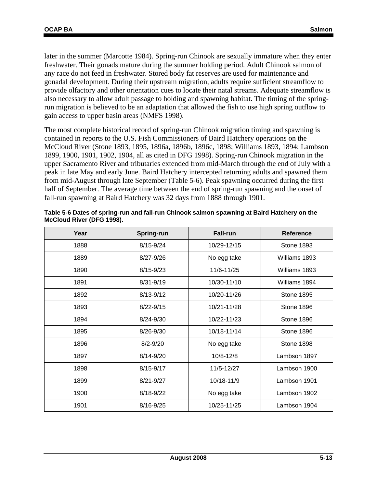later in the summer (Marcotte 1984). Spring-run Chinook are sexually immature when they enter freshwater. Their gonads mature during the summer holding period. Adult Chinook salmon of any race do not feed in freshwater. Stored body fat reserves are used for maintenance and gonadal development. During their upstream migration, adults require sufficient streamflow to provide olfactory and other orientation cues to locate their natal streams. Adequate streamflow is also necessary to allow adult passage to holding and spawning habitat. The timing of the springrun migration is believed to be an adaptation that allowed the fish to use high spring outflow to gain access to upper basin areas (NMFS 1998).

The most complete historical record of spring-run Chinook migration timing and spawning is contained in reports to the U.S. Fish Commissioners of Baird Hatchery operations on the McCloud River (Stone 1893, 1895, 1896a, 1896b, 1896c, 1898; Williams 1893, 1894; Lambson 1899, 1900, 1901, 1902, 1904, all as cited in DFG 1998). Spring-run Chinook migration in the upper Sacramento River and tributaries extended from mid-March through the end of July with a peak in late May and early June. Baird Hatchery intercepted returning adults and spawned them from mid-August through late September (Table 5-6). Peak spawning occurred during the first half of September. The average time between the end of spring-run spawning and the onset of fall-run spawning at Baird Hatchery was 32 days from 1888 through 1901.

| Year | Spring-run   | <b>Fall-run</b> | Reference         |
|------|--------------|-----------------|-------------------|
| 1888 | 8/15-9/24    | 10/29-12/15     | <b>Stone 1893</b> |
| 1889 | 8/27-9/26    | No egg take     | Williams 1893     |
| 1890 | 8/15-9/23    | 11/6-11/25      | Williams 1893     |
| 1891 | 8/31-9/19    | 10/30-11/10     | Williams 1894     |
| 1892 | 8/13-9/12    | 10/20-11/26     | <b>Stone 1895</b> |
| 1893 | 8/22-9/15    | 10/21-11/28     | <b>Stone 1896</b> |
| 1894 | 8/24-9/30    | 10/22-11/23     | Stone 1896        |
| 1895 | 8/26-9/30    | 10/18-11/14     | <b>Stone 1896</b> |
| 1896 | $8/2 - 9/20$ | No egg take     | Stone 1898        |
| 1897 | 8/14-9/20    | 10/8-12/8       | Lambson 1897      |
| 1898 | 8/15-9/17    | 11/5-12/27      | Lambson 1900      |
| 1899 | 8/21-9/27    | 10/18-11/9      | Lambson 1901      |
| 1900 | 8/18-9/22    | No egg take     | Lambson 1902      |
| 1901 | 8/16-9/25    | 10/25-11/25     | Lambson 1904      |

**Table 5-6 Dates of spring-run and fall-run Chinook salmon spawning at Baird Hatchery on the McCloud River (DFG 1998).**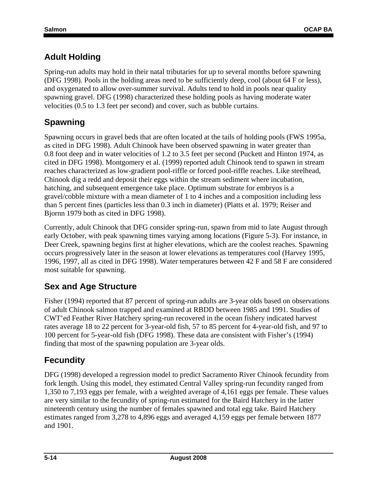## **Adult Holding**

Spring-run adults may hold in their natal tributaries for up to several months before spawning (DFG 1998). Pools in the holding areas need to be sufficiently deep, cool (about 64 F or less), and oxygenated to allow over-summer survival. Adults tend to hold in pools near quality spawning gravel. DFG (1998) characterized these holding pools as having moderate water velocities (0.5 to 1.3 feet per second) and cover, such as bubble curtains.

## **Spawning**

Spawning occurs in gravel beds that are often located at the tails of holding pools (FWS 1995a, as cited in DFG 1998). Adult Chinook have been observed spawning in water greater than 0.8 foot deep and in water velocities of 1.2 to 3.5 feet per second (Puckett and Hinton 1974, as cited in DFG 1998). Montgomery et al. (1999) reported adult Chinook tend to spawn in stream reaches characterized as low-gradient pool-riffle or forced pool-riffle reaches. Like steelhead, Chinook dig a redd and deposit their eggs within the stream sediment where incubation, hatching, and subsequent emergence take place. Optimum substrate for embryos is a gravel/cobble mixture with a mean diameter of 1 to 4 inches and a composition including less than 5 percent fines (particles less than 0.3 inch in diameter) (Platts et al. 1979; Reiser and Bjornn 1979 both as cited in DFG 1998).

Currently, adult Chinook that DFG consider spring-run, spawn from mid to late August through early October, with peak spawning times varying among locations (Figure 5-3). For instance, in Deer Creek, spawning begins first at higher elevations, which are the coolest reaches. Spawning occurs progressively later in the season at lower elevations as temperatures cool (Harvey 1995, 1996, 1997, all as cited in DFG 1998). Water temperatures between 42 F and 58 F are considered most suitable for spawning.

## **Sex and Age Structure**

Fisher (1994) reported that 87 percent of spring-run adults are 3-year olds based on observations of adult Chinook salmon trapped and examined at RBDD between 1985 and 1991. Studies of CWT'ed Feather River Hatchery spring-run recovered in the ocean fishery indicated harvest rates average 18 to 22 percent for 3-year-old fish, 57 to 85 percent for 4-year-old fish, and 97 to 100 percent for 5-year-old fish (DFG 1998). These data are consistent with Fisher's (1994) finding that most of the spawning population are 3-year olds.

## **Fecundity**

DFG (1998) developed a regression model to predict Sacramento River Chinook fecundity from fork length. Using this model, they estimated Central Valley spring-run fecundity ranged from 1,350 to 7,193 eggs per female, with a weighted average of 4,161 eggs per female. These values are very similar to the fecundity of spring-run estimated for the Baird Hatchery in the latter nineteenth century using the number of females spawned and total egg take. Baird Hatchery estimates ranged from 3,278 to 4,896 eggs and averaged 4,159 eggs per female between 1877 and 1901.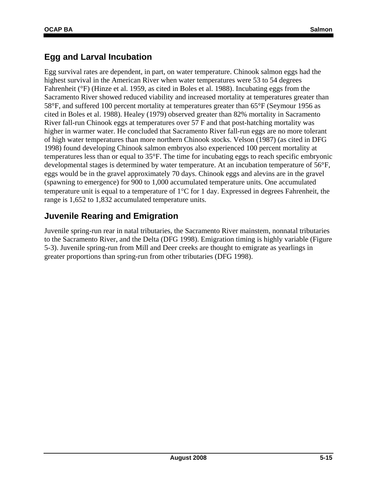### **Egg and Larval Incubation**

Egg survival rates are dependent, in part, on water temperature. Chinook salmon eggs had the highest survival in the American River when water temperatures were 53 to 54 degrees Fahrenheit (°F) (Hinze et al. 1959, as cited in Boles et al. 1988). Incubating eggs from the Sacramento River showed reduced viability and increased mortality at temperatures greater than 58°F, and suffered 100 percent mortality at temperatures greater than 65°F (Seymour 1956 as cited in Boles et al. 1988). Healey (1979) observed greater than 82% mortality in Sacramento River fall-run Chinook eggs at temperatures over 57 F and that post-hatching mortality was higher in warmer water. He concluded that Sacramento River fall-run eggs are no more tolerant of high water temperatures than more northern Chinook stocks. Velson (1987) (as cited in DFG 1998) found developing Chinook salmon embryos also experienced 100 percent mortality at temperatures less than or equal to 35°F. The time for incubating eggs to reach specific embryonic developmental stages is determined by water temperature. At an incubation temperature of 56°F, eggs would be in the gravel approximately 70 days. Chinook eggs and alevins are in the gravel (spawning to emergence) for 900 to 1,000 accumulated temperature units. One accumulated temperature unit is equal to a temperature of 1°C for 1 day. Expressed in degrees Fahrenheit, the range is 1,652 to 1,832 accumulated temperature units.

### **Juvenile Rearing and Emigration**

Juvenile spring-run rear in natal tributaries, the Sacramento River mainstem, nonnatal tributaries to the Sacramento River, and the Delta (DFG 1998). Emigration timing is highly variable (Figure 5-3). Juvenile spring-run from Mill and Deer creeks are thought to emigrate as yearlings in greater proportions than spring-run from other tributaries (DFG 1998).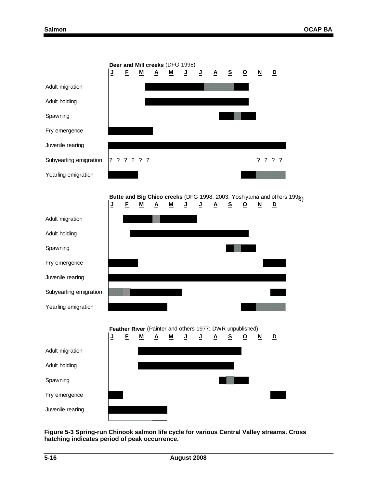

**Figure 5-3 Spring-run Chinook salmon life cycle for various Central Valley streams. Cross hatching indicates period of peak occurrence.**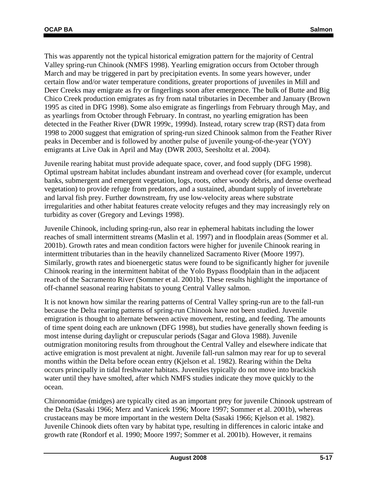This was apparently not the typical historical emigration pattern for the majority of Central Valley spring-run Chinook (NMFS 1998). Yearling emigration occurs from October through March and may be triggered in part by precipitation events. In some years however, under certain flow and/or water temperature conditions, greater proportions of juveniles in Mill and Deer Creeks may emigrate as fry or fingerlings soon after emergence. The bulk of Butte and Big Chico Creek production emigrates as fry from natal tributaries in December and January (Brown 1995 as cited in DFG 1998). Some also emigrate as fingerlings from February through May, and as yearlings from October through February. In contrast, no yearling emigration has been detected in the Feather River (DWR 1999c, 1999d). Instead, rotary screw trap (RST) data from 1998 to 2000 suggest that emigration of spring-run sized Chinook salmon from the Feather River peaks in December and is followed by another pulse of juvenile young-of-the-year (YOY) emigrants at Live Oak in April and May (DWR 2003, Seesholtz et al. 2004).

Juvenile rearing habitat must provide adequate space, cover, and food supply (DFG 1998). Optimal upstream habitat includes abundant instream and overhead cover (for example, undercut banks, submergent and emergent vegetation, logs, roots, other woody debris, and dense overhead vegetation) to provide refuge from predators, and a sustained, abundant supply of invertebrate and larval fish prey. Further downstream, fry use low-velocity areas where substrate irregularities and other habitat features create velocity refuges and they may increasingly rely on turbidity as cover (Gregory and Levings 1998).

Juvenile Chinook, including spring-run, also rear in ephemeral habitats including the lower reaches of small intermittent streams (Maslin et al. 1997) and in floodplain areas (Sommer et al. 2001b). Growth rates and mean condition factors were higher for juvenile Chinook rearing in intermittent tributaries than in the heavily channelized Sacramento River (Moore 1997). Similarly, growth rates and bioenergetic status were found to be significantly higher for juvenile Chinook rearing in the intermittent habitat of the Yolo Bypass floodplain than in the adjacent reach of the Sacramento River (Sommer et al. 2001b). These results highlight the importance of off-channel seasonal rearing habitats to young Central Valley salmon.

It is not known how similar the rearing patterns of Central Valley spring-run are to the fall-run because the Delta rearing patterns of spring-run Chinook have not been studied. Juvenile emigration is thought to alternate between active movement, resting, and feeding. The amounts of time spent doing each are unknown (DFG 1998), but studies have generally shown feeding is most intense during daylight or crepuscular periods (Sagar and Glova 1988). Juvenile outmigration monitoring results from throughout the Central Valley and elsewhere indicate that active emigration is most prevalent at night. Juvenile fall-run salmon may rear for up to several months within the Delta before ocean entry (Kjelson et al. 1982). Rearing within the Delta occurs principally in tidal freshwater habitats. Juveniles typically do not move into brackish water until they have smolted, after which NMFS studies indicate they move quickly to the ocean.

Chironomidae (midges) are typically cited as an important prey for juvenile Chinook upstream of the Delta (Sasaki 1966; Merz and Vanicek 1996; Moore 1997; Sommer et al. 2001b), whereas crustaceans may be more important in the western Delta (Sasaki 1966; Kjelson et al. 1982). Juvenile Chinook diets often vary by habitat type, resulting in differences in caloric intake and growth rate (Rondorf et al. 1990; Moore 1997; Sommer et al. 2001b). However, it remains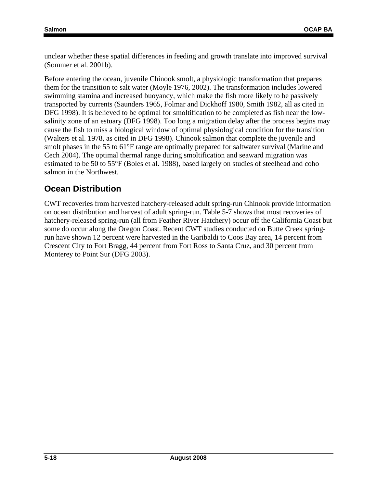unclear whether these spatial differences in feeding and growth translate into improved survival (Sommer et al. 2001b).

Before entering the ocean, juvenile Chinook smolt, a physiologic transformation that prepares them for the transition to salt water (Moyle 1976, 2002). The transformation includes lowered swimming stamina and increased buoyancy, which make the fish more likely to be passively transported by currents (Saunders 1965, Folmar and Dickhoff 1980, Smith 1982, all as cited in DFG 1998). It is believed to be optimal for smoltification to be completed as fish near the lowsalinity zone of an estuary (DFG 1998). Too long a migration delay after the process begins may cause the fish to miss a biological window of optimal physiological condition for the transition (Walters et al. 1978, as cited in DFG 1998). Chinook salmon that complete the juvenile and smolt phases in the 55 to 61°F range are optimally prepared for saltwater survival (Marine and Cech 2004). The optimal thermal range during smoltification and seaward migration was estimated to be 50 to 55°F (Boles et al. 1988), based largely on studies of steelhead and coho salmon in the Northwest.

## **Ocean Distribution**

CWT recoveries from harvested hatchery-released adult spring-run Chinook provide information on ocean distribution and harvest of adult spring-run. Table 5-7 shows that most recoveries of hatchery-released spring-run (all from Feather River Hatchery) occur off the California Coast but some do occur along the Oregon Coast. Recent CWT studies conducted on Butte Creek springrun have shown 12 percent were harvested in the Garibaldi to Coos Bay area, 14 percent from Crescent City to Fort Bragg, 44 percent from Fort Ross to Santa Cruz, and 30 percent from Monterey to Point Sur (DFG 2003).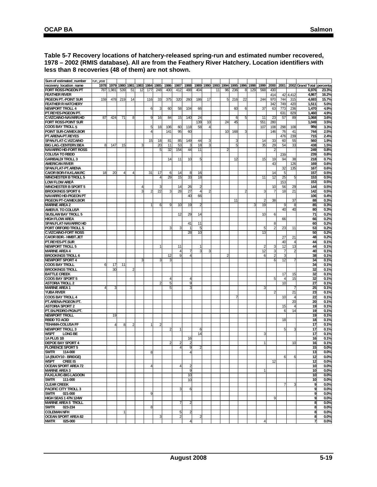#### **Table 5-7 Recovery locations of hatchery-released spring-run and estimated number recovered, 1978 – 2002 (RMIS database). All are from the Feathery River Hatchery. Location identifiers with less than 8 recoveries (48 of them) are not shown.**

| Sum of estimated_number       | run_year |      |      |                |                       |      |      |      |                       |                |                 |    |           |      |      |      |      |      |                |                |       |                           |       |
|-------------------------------|----------|------|------|----------------|-----------------------|------|------|------|-----------------------|----------------|-----------------|----|-----------|------|------|------|------|------|----------------|----------------|-------|---------------------------|-------|
| recovery_location_name        | 1978     | 1979 | 1980 |                | 1981 1983             | 1984 | 1985 | 1986 | 1987                  | 1988           | 1989            |    | 1990 1993 | 1994 | 1995 | 1996 | 1998 | 1999 | 2000           | 2001           |       | 2002 Grand Total percenta |       |
| FORT ROSS-PIGEON PT           | 787      | 1,98 | 539  | 51             | 12                    | 177  | 248  | 400  | 412                   | 488            | 404             |    | 11        | 96   | 236  | 8    | 129  | 568  | 430            |                |       | 6,976                     | 23.3% |
| <b>FEATHER RIVER</b>          |          |      |      |                |                       |      |      |      |                       |                |                 |    |           |      |      |      |      |      | 414            | 42             | 4,412 | 4,867                     | 16.2% |
|                               |          |      |      |                |                       |      |      |      |                       |                |                 |    |           |      |      |      |      |      |                |                |       |                           |       |
| PIGEON PT.-POINT SUR          | 159      | 478  | 219  | 14             |                       | 116  | 33   | 375  | 320                   | 260            | 186             | 17 |           | 5    | 216  | 22   |      | 244  | 970            | 744            | 315   | 4,693                     | 15.7% |
| <b>FEATHER R HATCHERY</b>     |          |      |      |                |                       |      |      |      |                       |                |                 |    |           |      |      |      |      |      | 342            | 749            | 420   | 1,511                     | 5.0%  |
| <b>NEWPORT TROLL 4</b>        |          |      |      |                |                       | 6    |      | 60   | 58                    | 104            | 66              |    |           |      | 60   | 6    |      | 37   | 63             | 773            | 236   | 1,470                     | 4.9%  |
| PT.REYES-PIGEON PT.           |          |      |      |                |                       |      |      |      |                       |                |                 |    |           |      |      |      |      |      |                | 631            | 829   | 1,460                     | 4.9%  |
| C.VIZCAINO-NAVARR.HD          | 87       | 424  | 71   | 8              |                       |      | 16   | 84   | 15                    | 140            | 24              |    |           |      | 6    | 5    |      | 11   | 23             | 57             | 89    | 1,068                     | 3.6%  |
| FORT ROSS-POINT SUR           |          |      |      |                |                       |      |      |      |                       |                | 139             | 10 |           | 24   | 45   |      |      | 551  | 280            |                |       | 1,049                     | 3.5%  |
| <b>COOS BAY TROLL 5</b>       |          |      |      |                |                       | 5    | 18   | 106  | 60                    | 118            | 58              |    |           |      |      |      |      | 107  | 108            | 298            | 108   | 989                       | 3.3%  |
| POINT SUR-CA/MEX.BOR          |          |      |      |                |                       |      |      | 141  | 95                    | 60             |                 |    |           | 10   | 168  | 3    |      |      | 146            | 76             | 41    | 744                       | 2.5%  |
| PT.ARENA-PT.REYES             |          |      |      |                |                       |      |      |      |                       |                |                 |    |           |      |      |      |      |      |                | 476            | 239   | 715                       | 2.4%  |
| SPAN.FLAT-C.VIZCAINO          |          |      |      |                |                       | 15   | 18   |      |                       | 149            | 44              |    |           |      |      |      |      | 14   | 33             | 6C             |       | 560                       | 1.9%  |
|                               |          |      |      |                |                       |      |      | 81   | 85                    |                |                 |    |           |      |      |      |      |      |                |                | 55    |                           |       |
| <b>BIG LAG.-CENTERV.BEA</b>   |          | 147  | 15   |                |                       |      | 20   | 11   | 53                    |                | 18              |    |           |      | 5    |      |      | 35   | 29             | 54             | 33    | 438                       | 1.5%  |
| <b>NAVARRO HD-FORT ROSS</b>   |          |      |      |                |                       |      | 5    | 32   | 154                   | 44             | 11              |    |           | 2    |      |      |      |      |                |                |       | 249                       | 0.8%  |
| <b>COLUSA TO RBDD</b>         |          |      |      |                |                       |      |      |      |                       |                |                 |    |           |      |      |      |      |      |                | 239            |       | 239                       | 0.8%  |
| <b>GARIBALDI TROLL 3</b>      |          |      |      |                |                       |      |      | 14   | 11                    | 10             | 5               |    |           |      | 12   |      |      | 15   | 19             | 94             | 38    | 218                       | 0.7%  |
| <b>AMERICAN RIVER</b>         |          |      |      |                |                       |      |      |      |                       |                |                 |    |           |      |      |      |      |      | 43             |                | 126   | 169                       | 0.6%  |
| SPAN.FLAT-PT.ARENA            |          |      |      |                |                       |      |      |      |                       |                |                 |    |           |      |      |      |      |      |                | 32             | 135   | 167                       | 0.6%  |
| <b>CA/OR BOR-FA.KLAM.RC</b>   | 18       | 20   | 4    | 4              |                       | 31   | 17   | 6    | 14                    | 8              | 16              |    |           |      |      |      |      |      | 14             | 5              |       | 157                       | 0.5%  |
| <b>WINCHESTER B TROLL 5</b>   |          |      |      |                |                       |      | 4    | 29   | 15                    | 33             | 18              |    |           |      |      |      |      | 11   | 12             | 25             | 5     | 153                       | 0.5%  |
| <b>LOW FLOW AREA</b>          |          |      |      |                |                       |      |      |      |                       |                |                 |    |           |      |      |      |      |      |                |                |       | 153                       |       |
|                               |          |      |      |                |                       |      |      |      |                       |                |                 |    |           |      |      |      |      |      |                | 153            |       |                           | 0.5%  |
| <b>WINCHESTER B SPORT 5</b>   |          |      |      |                | $\boldsymbol{\Delta}$ |      | 3    |      | 14                    | 26             | $\overline{2}$  |    |           |      |      |      |      |      | 10             | 56             | 29    | 144                       | 0.5%  |
| <b>BROOKINGS SPORT 6</b>      |          |      |      |                | ঽ                     |      | 22   |      | 28                    | 27             | $\overline{4}$  |    |           |      |      | 2    |      | 3    | 7              | 18             | 21    | 142                       | 0.5%  |
| NAVARRO HD-PIGEON PT          |          |      |      |                |                       |      |      |      |                       | 40             | 66              |    |           |      |      |      |      |      |                |                |       | 106                       | 0.4%  |
| <b>PIGEON PT-CA/MEX.BOR</b>   |          |      |      |                |                       |      |      |      |                       |                |                 |    |           |      | 11   |      |      | 2    | 38             |                | 37    | 88                        | 0.3%  |
| <b>MARINE AREA 2</b>          |          |      |      |                |                       |      | 6    | 9    | 10                    | 19             | $\overline{2}$  |    |           |      |      |      | 3    | 19   |                | 9              |       | 85                        | 0.3%  |
| AMER.R. TO COLUSA             |          |      |      |                |                       |      |      |      |                       |                |                 |    |           |      |      |      |      |      |                | 40             | 40    | 80                        | 0.3%  |
| <b>SIUSLAW BAY TROLL 5</b>    |          |      |      |                |                       |      |      |      | 12                    | 29             | 14              |    |           |      |      |      |      | 10   | 6              |                |       | $\overline{71}$           | 0.2%  |
| <b>HIGH FLOW AREA</b>         |          |      |      |                |                       |      |      |      |                       |                |                 |    |           |      |      |      |      |      |                | 66             |       | 66                        | 0.2%  |
| <b>SPAN.FLAT-NAVARRO HD</b>   |          |      |      |                |                       |      |      |      |                       | 41             | 11              |    |           |      |      |      |      |      | 8              |                |       | 60                        | 0.2%  |
|                               |          |      |      |                |                       |      |      |      |                       |                |                 |    |           |      |      |      |      |      |                |                |       |                           |       |
| PORT ORFORD TROLL 5           |          |      |      |                |                       |      |      | 3    | 3                     |                | 5               |    |           |      |      |      |      | 5    | $\overline{2}$ | 23             | 11    | 53                        | 0.2%  |
| <b>C.VIZCAINO-FORT ROSS</b>   |          |      |      |                |                       |      |      |      |                       | 28             | 10 <sup>1</sup> |    |           |      |      |      |      | 13   |                |                |       | 50                        | 0.2%  |
| <b>CA/OR BDR.- HMBT.JET</b>   |          |      |      |                |                       |      |      |      |                       |                |                 |    |           |      |      |      |      |      |                | 27             | 21    | 48                        | 0.2%  |
| PT.REYES-PT.SUR               |          |      |      |                |                       |      |      |      |                       |                |                 |    |           |      |      |      |      |      |                | 40             |       | 44                        | 0.1%  |
| NEWPORT TROLL 5               |          |      |      |                |                       |      |      |      | 11                    |                | $\vert$ 1       |    |           |      |      |      |      | 2    | 3              | 12             | 13    | 44                        | 0.1%  |
| <b>MARINE AREA 4</b>          |          |      |      |                |                       |      |      |      | $\boldsymbol{\Delta}$ |                | 3               |    |           |      |      |      |      | 12   | З              |                |       | 40                        | 0.1%  |
| <b>BROOKINGS TROLL 6</b>      |          |      |      |                |                       |      |      | 12   | 9                     | 4              |                 |    |           | 2    |      |      |      | 6    | $\overline{2}$ | 3              |       | 38                        | 0.1%  |
| NEWPORT SPORT 4               |          |      |      |                |                       |      |      |      |                       |                |                 |    |           |      |      |      |      |      | 6              | 12             |       | 34                        | 0.1%  |
| <b>COOS BAY TROLL</b>         | ĥ        | 17   | 11   |                |                       |      |      |      |                       |                |                 |    |           |      |      |      |      |      |                |                |       | 34                        | 0.1%  |
|                               |          |      |      |                |                       |      |      |      |                       |                |                 |    |           |      |      |      |      |      |                |                |       | 32                        |       |
| <b>BROOKINGS TROLL</b>        |          | 30   |      |                |                       |      |      |      |                       |                |                 |    |           |      |      |      |      |      |                |                |       |                           | 0.1%  |
| <b>BATTLE CREEK</b>           |          |      |      |                |                       |      |      |      |                       |                |                 |    |           |      |      |      |      |      |                | 17             | 15    | 32                        | 0.1%  |
| <b>COOS BAY SPORT 5</b>       |          |      |      |                |                       |      |      | 4    |                       |                |                 |    |           |      |      |      |      |      | 5              | $\overline{4}$ | 15    | 32                        | 0.1%  |
| <b>ASTORIA TROLL 2</b>        |          |      |      |                |                       |      |      | 5    |                       | 9              |                 |    |           |      |      |      |      |      |                | 10             |       | 27                        | 0.1%  |
| <b>MARINE AREA1</b>           |          |      |      |                |                       |      |      | 5    |                       | ٩              |                 |    |           |      |      |      |      |      |                |                |       | 25                        | 0.1%  |
| <b>YUBA RIVER</b>             |          |      |      |                |                       |      |      |      |                       |                |                 |    |           |      |      |      |      |      | 2              |                | 21    | 23                        | 0.1%  |
| <b>COOS BAY TROLL 4</b>       |          |      |      |                |                       |      |      |      |                       |                |                 |    |           |      |      |      |      |      |                | 10             |       | $\overline{22}$           | 0.1%  |
| PT.ARENA-PIGEON PT.           |          |      |      |                |                       |      |      |      |                       |                |                 |    |           |      |      |      |      |      |                |                | 20    | 20                        | 0.1%  |
| <b>ASTORIA SPORT 2</b>        |          |      |      |                |                       |      |      |      |                       |                |                 |    |           |      |      |      |      |      |                | 15             |       | 19                        | 0.1%  |
| PT.SN.PEDRO-PIGN.PT.          |          |      |      |                |                       |      |      |      |                       |                |                 |    |           |      |      |      |      |      |                | 6              | 14    | 19                        | 0.1%  |
|                               |          |      |      |                |                       |      |      |      |                       |                |                 |    |           |      |      |      |      |      |                |                |       |                           |       |
| NEWPORT TROLL                 |          | 19   |      |                |                       |      |      |      |                       |                |                 |    |           |      |      |      |      |      |                |                |       | 19                        | 0.1%  |
| <b>RBDD TO ACID</b>           |          |      |      |                |                       |      |      |      |                       |                |                 |    |           |      |      |      |      |      |                | 18             |       | 18                        | 0.1%  |
| <b>TEHAMA-COLUSA FF</b>       |          |      | 8    | $\overline{2}$ |                       |      |      |      |                       |                |                 |    |           |      |      |      |      |      |                |                |       | 17                        | 0.1%  |
| <b>NEWPORT TROLL 3</b>        |          |      |      |                |                       |      |      | 2    |                       |                | 6               |    |           |      |      |      |      |      |                | 5              |       | 17                        | 0.1%  |
| <b>WSPT</b><br><b>LONG BE</b> |          |      |      |                |                       |      |      |      |                       |                | 14              |    |           |      |      |      |      |      |                |                |       | 17                        | 0.1%  |
| 1A PLUS 1B                    |          |      |      |                |                       |      |      |      |                       | 16             |                 |    |           |      |      |      |      |      |                |                |       | 16                        | 0.1%  |
| <b>DEPOE BAY SPORT 4</b>      |          |      |      |                |                       |      |      |      |                       |                |                 |    |           |      |      |      |      |      |                |                | 10    | 16                        | 0.1%  |
| <b>FLORENCE SPORT 5</b>       |          |      |      |                |                       |      |      |      | 4                     | 9              | $\overline{2}$  |    |           |      |      |      |      |      |                |                |       | 15                        | 0.0%  |
| <b>SWTR</b><br>114-000        |          |      |      |                |                       | 8    |      |      |                       | $\overline{4}$ |                 |    |           |      |      |      |      |      |                |                |       | 13                        | 0.0%  |
| 1A (BUOY10 - BRIDGE)          |          |      |      |                |                       |      |      |      |                       |                |                 |    |           |      |      |      |      |      |                |                |       |                           |       |
|                               |          |      |      |                |                       |      |      |      |                       |                |                 |    |           |      |      |      |      |      |                | 6              | 6     | 12                        | 0.0%  |
| <b>WSPT</b><br><b>CREE IS</b> |          |      |      |                |                       |      |      |      |                       |                |                 |    |           |      |      |      |      |      | 12             |                |       | 12                        | 0.0%  |
| <b>OCEAN SPORT AREA 72</b>    |          |      |      |                |                       | 4    |      |      | 4                     | $\overline{2}$ |                 |    |           |      |      |      |      |      |                |                |       | 10                        | 0.0%  |
| <b>MARINE AREA 3</b>          |          |      |      |                |                       |      |      |      |                       | 9              |                 |    |           |      |      |      |      |      |                |                |       | 10                        | 0.0%  |
| <b>FA.KLA.RC-BIG LAGOON</b>   |          |      |      |                |                       |      |      |      |                       | 10             |                 |    |           |      |      |      |      |      |                |                |       | 10                        | 0.0%  |
| <b>SWTR</b><br>111-000        |          |      |      |                |                       |      |      |      |                       | 10             |                 |    |           |      |      |      |      |      |                |                |       | 10                        | 0.0%  |
| <b>CLEAR CREEK</b>            |          |      |      |                |                       |      |      |      |                       |                |                 |    |           |      |      |      |      |      |                |                | з     | 9                         | 0.0%  |
| PACIFIC CITY TROLL 3          |          |      |      |                |                       |      |      |      |                       | 6              |                 |    |           |      |      |      |      |      |                |                |       | 9                         | 0.0%  |
| 021-000                       |          |      |      |                |                       | 9    |      |      |                       |                |                 |    |           |      |      |      |      |      |                |                |       | 9                         | 0.0%  |
| <b>SWTR</b>                   |          |      |      |                |                       |      |      |      |                       |                |                 |    |           |      |      |      |      |      |                |                |       |                           |       |
| HIGH SEAS 1 47N 124W          |          |      |      |                |                       |      |      |      |                       |                |                 |    |           |      |      |      |      |      | 9              |                |       | 9                         | 0.0%  |
| <b>MARINE AREA 5 TROLL</b>    |          |      |      |                |                       |      |      |      |                       | 2              |                 |    |           |      |      |      |      |      |                |                |       | 8                         | 0.0%  |
| <b>SWTR</b><br>023-234        |          |      |      |                |                       | 8    |      |      |                       |                |                 |    |           |      |      |      |      |      |                |                |       | 8                         | 0.0%  |
| <b>COLEMAN NFH</b>            |          |      | 1    |                |                       |      |      |      | 5                     | $\overline{2}$ |                 |    |           |      |      |      |      |      |                |                |       | 8                         | 0.0%  |
| <b>OCEAN SPORT AREA 82</b>    |          |      |      |                |                       |      |      |      |                       |                |                 |    |           |      |      |      |      |      |                |                |       | 8                         | 0.0%  |
| 025-000<br><b>NWTR</b>        |          |      |      |                |                       |      |      |      |                       |                |                 |    |           |      |      |      |      |      |                |                |       | 7                         | 0.0%  |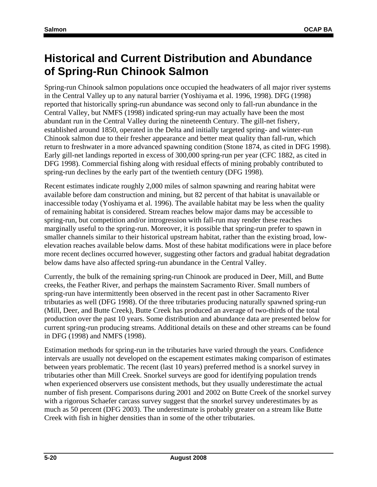# **Historical and Current Distribution and Abundance of Spring-Run Chinook Salmon**

Spring-run Chinook salmon populations once occupied the headwaters of all major river systems in the Central Valley up to any natural barrier (Yoshiyama et al. 1996, 1998). DFG (1998) reported that historically spring-run abundance was second only to fall-run abundance in the Central Valley, but NMFS (1998) indicated spring-run may actually have been the most abundant run in the Central Valley during the nineteenth Century. The gill-net fishery, established around 1850, operated in the Delta and initially targeted spring- and winter-run Chinook salmon due to their fresher appearance and better meat quality than fall-run, which return to freshwater in a more advanced spawning condition (Stone 1874, as cited in DFG 1998). Early gill-net landings reported in excess of 300,000 spring-run per year (CFC 1882, as cited in DFG 1998). Commercial fishing along with residual effects of mining probably contributed to spring-run declines by the early part of the twentieth century (DFG 1998).

Recent estimates indicate roughly 2,000 miles of salmon spawning and rearing habitat were available before dam construction and mining, but 82 percent of that habitat is unavailable or inaccessible today (Yoshiyama et al. 1996). The available habitat may be less when the quality of remaining habitat is considered. Stream reaches below major dams may be accessible to spring-run, but competition and/or introgression with fall-run may render these reaches marginally useful to the spring-run. Moreover, it is possible that spring-run prefer to spawn in smaller channels similar to their historical upstream habitat, rather than the existing broad, lowelevation reaches available below dams. Most of these habitat modifications were in place before more recent declines occurred however, suggesting other factors and gradual habitat degradation below dams have also affected spring-run abundance in the Central Valley.

Currently, the bulk of the remaining spring-run Chinook are produced in Deer, Mill, and Butte creeks, the Feather River, and perhaps the mainstem Sacramento River. Small numbers of spring-run have intermittently been observed in the recent past in other Sacramento River tributaries as well (DFG 1998). Of the three tributaries producing naturally spawned spring-run (Mill, Deer, and Butte Creek), Butte Creek has produced an average of two-thirds of the total production over the past 10 years. Some distribution and abundance data are presented below for current spring-run producing streams. Additional details on these and other streams can be found in DFG (1998) and NMFS (1998).

Estimation methods for spring-run in the tributaries have varied through the years. Confidence intervals are usually not developed on the escapement estimates making comparison of estimates between years problematic. The recent (last 10 years) preferred method is a snorkel survey in tributaries other than Mill Creek. Snorkel surveys are good for identifying population trends when experienced observers use consistent methods, but they usually underestimate the actual number of fish present. Comparisons during 2001 and 2002 on Butte Creek of the snorkel survey with a rigorous Schaefer carcass survey suggest that the snorkel survey underestimates by as much as 50 percent (DFG 2003). The underestimate is probably greater on a stream like Butte Creek with fish in higher densities than in some of the other tributaries.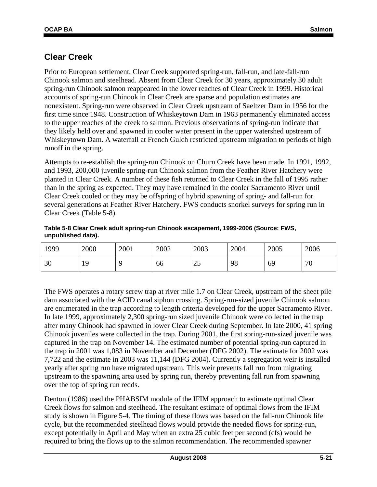### **Clear Creek**

Prior to European settlement, Clear Creek supported spring-run, fall-run, and late-fall-run Chinook salmon and steelhead. Absent from Clear Creek for 30 years, approximately 30 adult spring-run Chinook salmon reappeared in the lower reaches of Clear Creek in 1999. Historical accounts of spring-run Chinook in Clear Creek are sparse and population estimates are nonexistent. Spring-run were observed in Clear Creek upstream of Saeltzer Dam in 1956 for the first time since 1948. Construction of Whiskeytown Dam in 1963 permanently eliminated access to the upper reaches of the creek to salmon. Previous observations of spring-run indicate that they likely held over and spawned in cooler water present in the upper watershed upstream of Whiskeytown Dam. A waterfall at French Gulch restricted upstream migration to periods of high runoff in the spring.

Attempts to re-establish the spring-run Chinook on Churn Creek have been made. In 1991, 1992, and 1993, 200,000 juvenile spring-run Chinook salmon from the Feather River Hatchery were planted in Clear Creek. A number of these fish returned to Clear Creek in the fall of 1995 rather than in the spring as expected. They may have remained in the cooler Sacramento River until Clear Creek cooled or they may be offspring of hybrid spawning of spring- and fall-run for several generations at Feather River Hatchery. FWS conducts snorkel surveys for spring run in Clear Creek (Table 5-8).

#### **Table 5-8 Clear Creek adult spring-run Chinook escapement, 1999-2006 (Source: FWS, unpublished data).**

| 1999 | 2000 | 2001 | 2002 | 2003     | 2004 | 2005 | 2006 |
|------|------|------|------|----------|------|------|------|
| 30   | 19   |      | 66   | າເ<br>رے | 98   | 69   | 70   |

The FWS operates a rotary screw trap at river mile 1.7 on Clear Creek, upstream of the sheet pile dam associated with the ACID canal siphon crossing. Spring-run-sized juvenile Chinook salmon are enumerated in the trap according to length criteria developed for the upper Sacramento River. In late 1999, approximately 2,300 spring-run sized juvenile Chinook were collected in the trap after many Chinook had spawned in lower Clear Creek during September. In late 2000, 41 spring Chinook juveniles were collected in the trap. During 2001, the first spring-run-sized juvenile was captured in the trap on November 14. The estimated number of potential spring-run captured in the trap in 2001 was 1,083 in November and December (DFG 2002). The estimate for 2002 was 7,722 and the estimate in 2003 was 11,144 (DFG 2004). Currently a segregation weir is installed yearly after spring run have migrated upstream. This weir prevents fall run from migrating upstream to the spawning area used by spring run, thereby preventing fall run from spawning over the top of spring run redds.

Denton (1986) used the PHABSIM module of the IFIM approach to estimate optimal Clear Creek flows for salmon and steelhead. The resultant estimate of optimal flows from the IFIM study is shown in Figure 5-4. The timing of these flows was based on the fall-run Chinook life cycle, but the recommended steelhead flows would provide the needed flows for spring-run, except potentially in April and May when an extra 25 cubic feet per second (cfs) would be required to bring the flows up to the salmon recommendation. The recommended spawner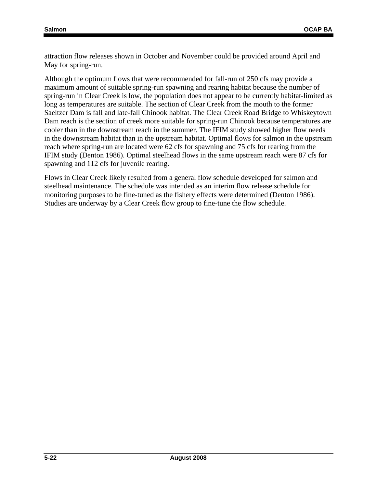attraction flow releases shown in October and November could be provided around April and May for spring-run.

Although the optimum flows that were recommended for fall-run of 250 cfs may provide a maximum amount of suitable spring-run spawning and rearing habitat because the number of spring-run in Clear Creek is low, the population does not appear to be currently habitat-limited as long as temperatures are suitable. The section of Clear Creek from the mouth to the former Saeltzer Dam is fall and late-fall Chinook habitat. The Clear Creek Road Bridge to Whiskeytown Dam reach is the section of creek more suitable for spring-run Chinook because temperatures are cooler than in the downstream reach in the summer. The IFIM study showed higher flow needs in the downstream habitat than in the upstream habitat. Optimal flows for salmon in the upstream reach where spring-run are located were 62 cfs for spawning and 75 cfs for rearing from the IFIM study (Denton 1986). Optimal steelhead flows in the same upstream reach were 87 cfs for spawning and 112 cfs for juvenile rearing.

Flows in Clear Creek likely resulted from a general flow schedule developed for salmon and steelhead maintenance. The schedule was intended as an interim flow release schedule for monitoring purposes to be fine-tuned as the fishery effects were determined (Denton 1986). Studies are underway by a Clear Creek flow group to fine-tune the flow schedule.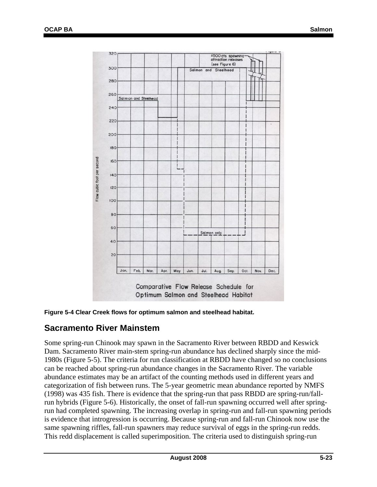

**Figure 5-4 Clear Creek flows for optimum salmon and steelhead habitat.** 

### **Sacramento River Mainstem**

Some spring-run Chinook may spawn in the Sacramento River between RBDD and Keswick Dam. Sacramento River main-stem spring-run abundance has declined sharply since the mid-1980s (Figure 5-5). The criteria for run classification at RBDD have changed so no conclusions can be reached about spring-run abundance changes in the Sacramento River. The variable abundance estimates may be an artifact of the counting methods used in different years and categorization of fish between runs. The 5-year geometric mean abundance reported by NMFS (1998) was 435 fish. There is evidence that the spring-run that pass RBDD are spring-run/fallrun hybrids (Figure 5-6). Historically, the onset of fall-run spawning occurred well after springrun had completed spawning. The increasing overlap in spring-run and fall-run spawning periods is evidence that introgression is occurring. Because spring-run and fall-run Chinook now use the same spawning riffles, fall-run spawners may reduce survival of eggs in the spring-run redds. This redd displacement is called superimposition. The criteria used to distinguish spring-run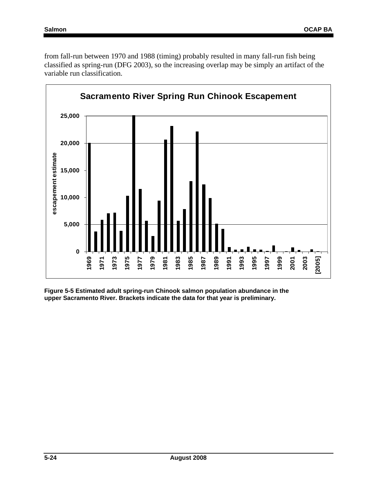from fall-run between 1970 and 1988 (timing) probably resulted in many fall-run fish being classified as spring-run (DFG 2003), so the increasing overlap may be simply an artifact of the variable run classification.



**Figure 5-5 Estimated adult spring-run Chinook salmon population abundance in the upper Sacramento River. Brackets indicate the data for that year is preliminary.**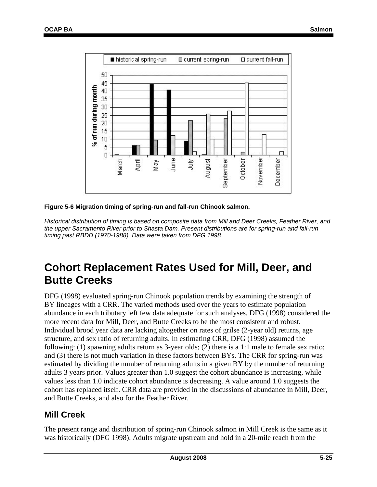

**Figure 5-6 Migration timing of spring-run and fall-run Chinook salmon.**

*Historical distribution of timing is based on composite data from Mill and Deer Creeks, Feather River, and the upper Sacramento River prior to Shasta Dam. Present distributions are for spring-run and fall-run timing past RBDD (1970-1988). Data were taken from DFG 1998.* 

# **Cohort Replacement Rates Used for Mill, Deer, and Butte Creeks**

DFG (1998) evaluated spring-run Chinook population trends by examining the strength of BY lineages with a CRR. The varied methods used over the years to estimate population abundance in each tributary left few data adequate for such analyses. DFG (1998) considered the more recent data for Mill, Deer, and Butte Creeks to be the most consistent and robust. Individual brood year data are lacking altogether on rates of grilse (2-year old) returns, age structure, and sex ratio of returning adults. In estimating CRR, DFG (1998) assumed the following: (1) spawning adults return as 3-year olds; (2) there is a 1:1 male to female sex ratio; and (3) there is not much variation in these factors between BYs. The CRR for spring-run was estimated by dividing the number of returning adults in a given BY by the number of returning adults 3 years prior. Values greater than 1.0 suggest the cohort abundance is increasing, while values less than 1.0 indicate cohort abundance is decreasing. A value around 1.0 suggests the cohort has replaced itself. CRR data are provided in the discussions of abundance in Mill, Deer, and Butte Creeks, and also for the Feather River.

### **Mill Creek**

The present range and distribution of spring-run Chinook salmon in Mill Creek is the same as it was historically (DFG 1998). Adults migrate upstream and hold in a 20-mile reach from the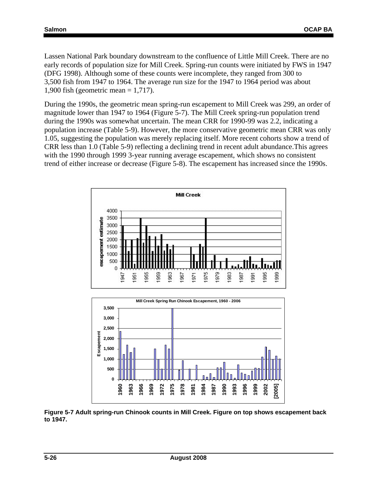Lassen National Park boundary downstream to the confluence of Little Mill Creek. There are no early records of population size for Mill Creek. Spring-run counts were initiated by FWS in 1947 (DFG 1998). Although some of these counts were incomplete, they ranged from 300 to 3,500 fish from 1947 to 1964. The average run size for the 1947 to 1964 period was about 1,900 fish (geometric mean = 1,717).

During the 1990s, the geometric mean spring-run escapement to Mill Creek was 299, an order of magnitude lower than 1947 to 1964 (Figure 5-7). The Mill Creek spring-run population trend during the 1990s was somewhat uncertain. The mean CRR for 1990-99 was 2.2, indicating a population increase (Table 5-9). However, the more conservative geometric mean CRR was only 1.05, suggesting the population was merely replacing itself. More recent cohorts show a trend of CRR less than 1.0 (Table 5-9) reflecting a declining trend in recent adult abundance.This agrees with the 1990 through 1999 3-year running average escapement, which shows no consistent trend of either increase or decrease (Figure 5-8). The escapement has increased since the 1990s.





**Figure 5-7 Adult spring-run Chinook counts in Mill Creek. Figure on top shows escapement back to 1947.**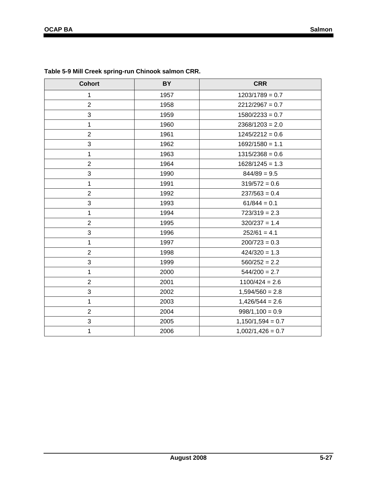| <b>Cohort</b>  | <b>BY</b> | <b>CRR</b>          |  |  |  |  |  |
|----------------|-----------|---------------------|--|--|--|--|--|
| 1              | 1957      | $1203/1789 = 0.7$   |  |  |  |  |  |
| $\overline{2}$ | 1958      | $2212/2967 = 0.7$   |  |  |  |  |  |
| 3              | 1959      | $1580/2233 = 0.7$   |  |  |  |  |  |
| 1              | 1960      | $2368/1203 = 2.0$   |  |  |  |  |  |
| $\overline{2}$ | 1961      | $1245/2212 = 0.6$   |  |  |  |  |  |
| $\mathfrak{S}$ | 1962      | $1692/1580 = 1.1$   |  |  |  |  |  |
| 1              | 1963      | $1315/2368 = 0.6$   |  |  |  |  |  |
| $\overline{2}$ | 1964      | $1628/1245 = 1.3$   |  |  |  |  |  |
| 3              | 1990      | $844/89 = 9.5$      |  |  |  |  |  |
| 1              | 1991      | $319/572 = 0.6$     |  |  |  |  |  |
| $\overline{2}$ | 1992      | $237/563 = 0.4$     |  |  |  |  |  |
| 3              | 1993      | $61/844 = 0.1$      |  |  |  |  |  |
| 1              | 1994      | $723/319 = 2.3$     |  |  |  |  |  |
| $\overline{2}$ | 1995      | $320/237 = 1.4$     |  |  |  |  |  |
| 3              | 1996      | $252/61 = 4.1$      |  |  |  |  |  |
| 1              | 1997      | $200/723 = 0.3$     |  |  |  |  |  |
| $\overline{2}$ | 1998      | $424/320 = 1.3$     |  |  |  |  |  |
| $\mathfrak{S}$ | 1999      | $560/252 = 2.2$     |  |  |  |  |  |
| 1              | 2000      | $544/200 = 2.7$     |  |  |  |  |  |
| $\overline{2}$ | 2001      | $1100/424 = 2.6$    |  |  |  |  |  |
| $\sqrt{3}$     | 2002      | $1,594/560 = 2.8$   |  |  |  |  |  |
| 1              | 2003      | $1,426/544 = 2.6$   |  |  |  |  |  |
| $\overline{2}$ | 2004      | $998/1,100 = 0.9$   |  |  |  |  |  |
| 3              | 2005      | $1,150/1,594 = 0.7$ |  |  |  |  |  |
| 1              | 2006      | $1,002/1,426 = 0.7$ |  |  |  |  |  |
|                |           |                     |  |  |  |  |  |

#### **Table 5-9 Mill Creek spring-run Chinook salmon CRR.**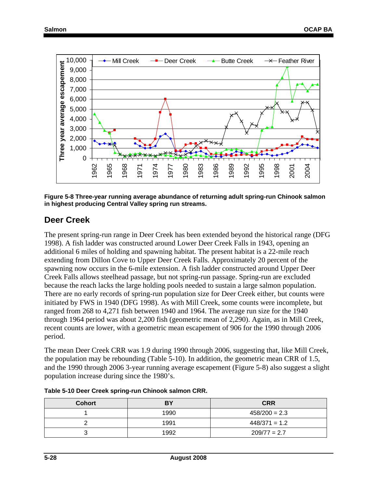

**Figure 5-8 Three-year running average abundance of returning adult spring-run Chinook salmon in highest producing Central Valley spring run streams.** 

### **Deer Creek**

The present spring-run range in Deer Creek has been extended beyond the historical range (DFG 1998). A fish ladder was constructed around Lower Deer Creek Falls in 1943, opening an additional 6 miles of holding and spawning habitat. The present habitat is a 22-mile reach extending from Dillon Cove to Upper Deer Creek Falls. Approximately 20 percent of the spawning now occurs in the 6-mile extension. A fish ladder constructed around Upper Deer Creek Falls allows steelhead passage, but not spring-run passage. Spring-run are excluded because the reach lacks the large holding pools needed to sustain a large salmon population. There are no early records of spring-run population size for Deer Creek either, but counts were initiated by FWS in 1940 (DFG 1998). As with Mill Creek, some counts were incomplete, but ranged from 268 to 4,271 fish between 1940 and 1964. The average run size for the 1940 through 1964 period was about 2,200 fish (geometric mean of 2,290). Again, as in Mill Creek, recent counts are lower, with a geometric mean escapement of 906 for the 1990 through 2006 period.

The mean Deer Creek CRR was 1.9 during 1990 through 2006, suggesting that, like Mill Creek, the population may be rebounding (Table 5-10). In addition, the geometric mean CRR of 1.5, and the 1990 through 2006 3-year running average escapement (Figure 5-8) also suggest a slight population increase during since the 1980's.

| <b>Cohort</b> | BY   | <b>CRR</b>      |
|---------------|------|-----------------|
|               | 1990 | $458/200 = 2.3$ |
|               | 1991 | $448/371 = 1.2$ |
|               | 1992 | $209/77 = 2.7$  |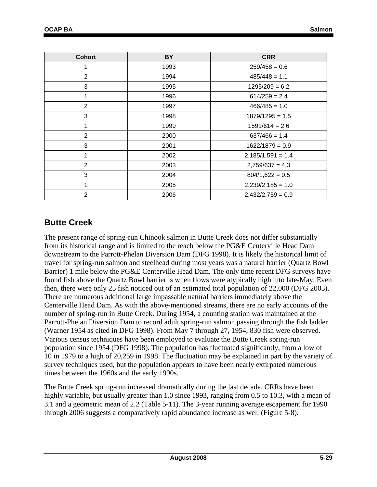| <b>Cohort</b>  | <b>BY</b> | <b>CRR</b>          |  |  |  |  |
|----------------|-----------|---------------------|--|--|--|--|
|                | 1993      | $259/458 = 0.6$     |  |  |  |  |
| $\overline{2}$ | 1994      | $485/448 = 1.1$     |  |  |  |  |
| 3              | 1995      | $1295/209 = 6.2$    |  |  |  |  |
| 1              | 1996      | $614/259 = 2.4$     |  |  |  |  |
| $\overline{2}$ | 1997      | $466/485 = 1.0$     |  |  |  |  |
| 3              | 1998      | $1879/1295 = 1.5$   |  |  |  |  |
| 1              | 1999      | $1591/614 = 2.6$    |  |  |  |  |
| $\overline{2}$ | 2000      | $637/466 = 1.4$     |  |  |  |  |
| 3              | 2001      | $1622/1879 = 0.9$   |  |  |  |  |
| 1              | 2002      | $2,185/1,591 = 1.4$ |  |  |  |  |
| $\overline{2}$ | 2003      | $2,759/637 = 4.3$   |  |  |  |  |
| 3              | 2004      | $804/1,622 = 0.5$   |  |  |  |  |
| 1              | 2005      | $2,239/2,185 = 1.0$ |  |  |  |  |
| $\overline{2}$ | 2006      | $2,432/2,759 = 0.9$ |  |  |  |  |

### **Butte Creek**

The present range of spring-run Chinook salmon in Butte Creek does not differ substantially from its historical range and is limited to the reach below the PG&E Centerville Head Dam downstream to the Parrott-Phelan Diversion Dam (DFG 1998). It is likely the historical limit of travel for spring-run salmon and steelhead during most years was a natural barrier (Quartz Bowl Barrier) 1 mile below the PG&E Centerville Head Dam. The only time recent DFG surveys have found fish above the Quartz Bowl barrier is when flows were atypically high into late-May. Even then, there were only 25 fish noticed out of an estimated total population of 22,000 (DFG 2003). There are numerous additional large impassable natural barriers immediately above the Centerville Head Dam. As with the above-mentioned streams, there are no early accounts of the number of spring-run in Butte Creek. During 1954, a counting station was maintained at the Parrott-Phelan Diversion Dam to record adult spring-run salmon passing through the fish ladder (Warner 1954 as cited in DFG 1998). From May 7 through 27, 1954, 830 fish were observed. Various census techniques have been employed to evaluate the Butte Creek spring-run population since 1954 (DFG 1998). The population has fluctuated significantly, from a low of 10 in 1979 to a high of 20,259 in 1998. The fluctuation may be explained in part by the variety of survey techniques used, but the population appears to have been nearly extirpated numerous times between the 1960s and the early 1990s.

The Butte Creek spring-run increased dramatically during the last decade. CRRs have been highly variable, but usually greater than 1.0 since 1993, ranging from 0.5 to 10.3, with a mean of 3.1 and a geometric mean of 2.2 (Table 5-11). The 3-year running average escapement for 1990 through 2006 suggests a comparatively rapid abundance increase as well (Figure 5-8).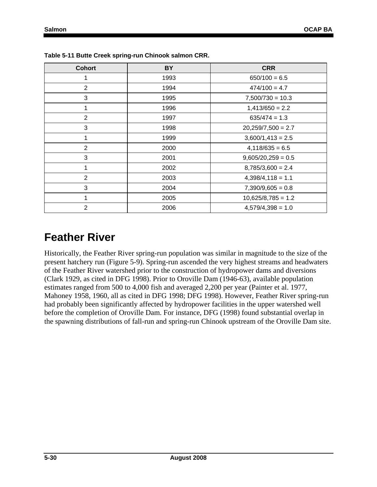| <b>Cohort</b>  | <b>BY</b> | <b>CRR</b>           |  |  |  |  |
|----------------|-----------|----------------------|--|--|--|--|
|                | 1993      | $650/100 = 6.5$      |  |  |  |  |
| 2              | 1994      | $474/100 = 4.7$      |  |  |  |  |
| 3              | 1995      | $7,500/730 = 10.3$   |  |  |  |  |
| 1              | 1996      | $1,413/650 = 2.2$    |  |  |  |  |
| $\overline{2}$ | 1997      | $635/474 = 1.3$      |  |  |  |  |
| 3              | 1998      | $20,259/7,500 = 2.7$ |  |  |  |  |
| 1              | 1999      | $3,600/1,413 = 2.5$  |  |  |  |  |
| 2              | 2000      | $4,118/635=6.5$      |  |  |  |  |
| 3              | 2001      | $9,605/20,259 = 0.5$ |  |  |  |  |
| 1              | 2002      | $8,785/3,600 = 2.4$  |  |  |  |  |
| $\overline{2}$ | 2003      | $4,398/4,118 = 1.1$  |  |  |  |  |
| 3              | 2004      | $7,390/9,605 = 0.8$  |  |  |  |  |
| 1              | 2005      | $10,625/8,785 = 1.2$ |  |  |  |  |
| $\overline{2}$ | 2006      | $4,579/4,398 = 1.0$  |  |  |  |  |

**Table 5-11 Butte Creek spring-run Chinook salmon CRR.** 

# **Feather River**

Historically, the Feather River spring-run population was similar in magnitude to the size of the present hatchery run (Figure 5-9). Spring-run ascended the very highest streams and headwaters of the Feather River watershed prior to the construction of hydropower dams and diversions (Clark 1929, as cited in DFG 1998). Prior to Oroville Dam (1946-63), available population estimates ranged from 500 to 4,000 fish and averaged 2,200 per year (Painter et al. 1977, Mahoney 1958, 1960, all as cited in DFG 1998; DFG 1998). However, Feather River spring-run had probably been significantly affected by hydropower facilities in the upper watershed well before the completion of Oroville Dam. For instance, DFG (1998) found substantial overlap in the spawning distributions of fall-run and spring-run Chinook upstream of the Oroville Dam site.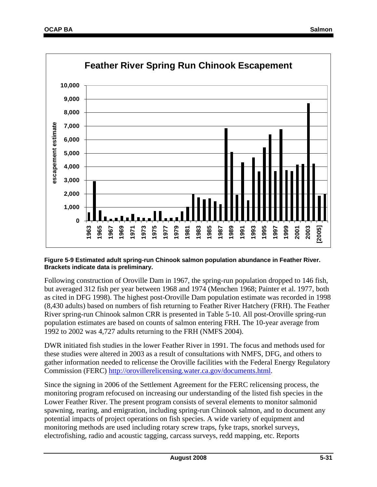

#### **Figure 5-9 Estimated adult spring-run Chinook salmon population abundance in Feather River. Brackets indicate data is preliminary.**

Following construction of Oroville Dam in 1967, the spring-run population dropped to 146 fish, but averaged 312 fish per year between 1968 and 1974 (Menchen 1968; Painter et al. 1977, both as cited in DFG 1998). The highest post-Oroville Dam population estimate was recorded in 1998 (8,430 adults) based on numbers of fish returning to Feather River Hatchery (FRH). The Feather River spring-run Chinook salmon CRR is presented in Table 5-10. All post-Oroville spring-run population estimates are based on counts of salmon entering FRH. The 10-year average from 1992 to 2002 was 4,727 adults returning to the FRH (NMFS 2004).

DWR initiated fish studies in the lower Feather River in 1991. The focus and methods used for these studies were altered in 2003 as a result of consultations with NMFS, DFG, and others to gather information needed to relicense the Oroville facilities with the Federal Energy Regulatory Commission (FERC) http://orovillerelicensing.water.ca.gov/documents.html.

Since the signing in 2006 of the Settlement Agreement for the FERC relicensing process, the monitoring program refocused on increasing our understanding of the listed fish species in the Lower Feather River. The present program consists of several elements to monitor salmonid spawning, rearing, and emigration, including spring-run Chinook salmon, and to document any potential impacts of project operations on fish species. A wide variety of equipment and monitoring methods are used including rotary screw traps, fyke traps, snorkel surveys, electrofishing, radio and acoustic tagging, carcass surveys, redd mapping, etc. Reports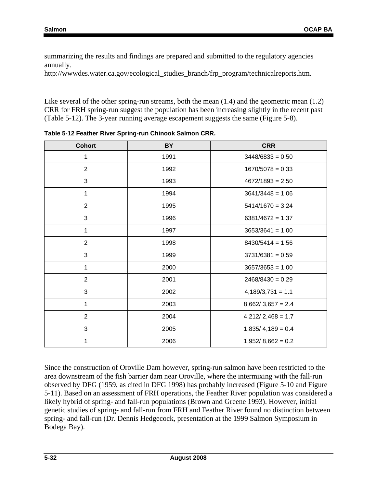summarizing the results and findings are prepared and submitted to the regulatory agencies annually.

http://wwwdes.water.ca.gov/ecological\_studies\_branch/frp\_program/technicalreports.htm.

Like several of the other spring-run streams, both the mean  $(1.4)$  and the geometric mean  $(1.2)$ CRR for FRH spring-run suggest the population has been increasing slightly in the recent past (Table 5-12). The 3-year running average escapement suggests the same (Figure 5-8).

| <b>Cohort</b>  | <b>BY</b> | <b>CRR</b>          |  |  |  |  |
|----------------|-----------|---------------------|--|--|--|--|
| 1              | 1991      | $3448/6833 = 0.50$  |  |  |  |  |
| $\overline{2}$ | 1992      | $1670/5078 = 0.33$  |  |  |  |  |
| 3              | 1993      | $4672/1893 = 2.50$  |  |  |  |  |
| 1              | 1994      | $3641/3448 = 1.06$  |  |  |  |  |
| $\overline{2}$ | 1995      | $5414/1670 = 3.24$  |  |  |  |  |
| 3              | 1996      | $6381/4672 = 1.37$  |  |  |  |  |
| 1              | 1997      | $3653/3641 = 1.00$  |  |  |  |  |
| $\overline{2}$ | 1998      | $8430/5414 = 1.56$  |  |  |  |  |
| 3              | 1999      | $3731/6381 = 0.59$  |  |  |  |  |
| 1              | 2000      | $3657/3653 = 1.00$  |  |  |  |  |
| $\overline{2}$ | 2001      | $2468/8430 = 0.29$  |  |  |  |  |
| 3              | 2002      | $4,189/3,731 = 1.1$ |  |  |  |  |
| 1              | 2003      | $8,662/3,657 = 2.4$ |  |  |  |  |
| $\overline{2}$ | 2004      | $4,212/2,468 = 1.7$ |  |  |  |  |
| 3              | 2005      | $1,835/4,189 = 0.4$ |  |  |  |  |
| 1              | 2006      | $1,952/8,662 = 0.2$ |  |  |  |  |

**Table 5-12 Feather River Spring-run Chinook Salmon CRR.** 

Since the construction of Oroville Dam however, spring-run salmon have been restricted to the area downstream of the fish barrier dam near Oroville, where the intermixing with the fall-run observed by DFG (1959, as cited in DFG 1998) has probably increased (Figure 5-10 and Figure 5-11). Based on an assessment of FRH operations, the Feather River population was considered a likely hybrid of spring- and fall-run populations (Brown and Greene 1993). However, initial genetic studies of spring- and fall-run from FRH and Feather River found no distinction between spring- and fall-run (Dr. Dennis Hedgecock, presentation at the 1999 Salmon Symposium in Bodega Bay).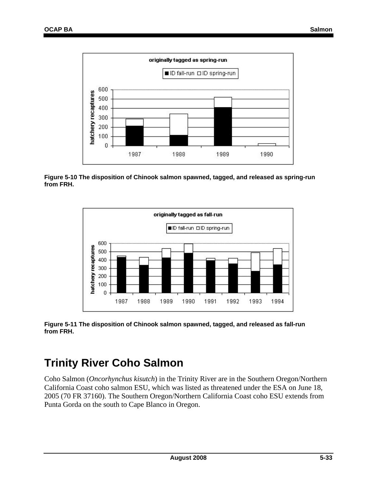

**Figure 5-10 The disposition of Chinook salmon spawned, tagged, and released as spring-run from FRH.** 



**Figure 5-11 The disposition of Chinook salmon spawned, tagged, and released as fall-run from FRH.** 

# **Trinity River Coho Salmon**

Coho Salmon (*Oncorhynchus kisutch*) in the Trinity River are in the Southern Oregon/Northern California Coast coho salmon ESU, which was listed as threatened under the ESA on June 18, 2005 (70 FR 37160). The Southern Oregon/Northern California Coast coho ESU extends from Punta Gorda on the south to Cape Blanco in Oregon.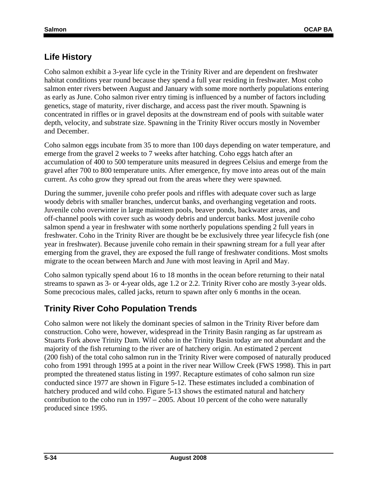## **Life History**

Coho salmon exhibit a 3-year life cycle in the Trinity River and are dependent on freshwater habitat conditions year round because they spend a full year residing in freshwater. Most coho salmon enter rivers between August and January with some more northerly populations entering as early as June. Coho salmon river entry timing is influenced by a number of factors including genetics, stage of maturity, river discharge, and access past the river mouth. Spawning is concentrated in riffles or in gravel deposits at the downstream end of pools with suitable water depth, velocity, and substrate size. Spawning in the Trinity River occurs mostly in November and December.

Coho salmon eggs incubate from 35 to more than 100 days depending on water temperature, and emerge from the gravel 2 weeks to 7 weeks after hatching. Coho eggs hatch after an accumulation of 400 to 500 temperature units measured in degrees Celsius and emerge from the gravel after 700 to 800 temperature units. After emergence, fry move into areas out of the main current. As coho grow they spread out from the areas where they were spawned.

During the summer, juvenile coho prefer pools and riffles with adequate cover such as large woody debris with smaller branches, undercut banks, and overhanging vegetation and roots. Juvenile coho overwinter in large mainstem pools, beaver ponds, backwater areas, and off-channel pools with cover such as woody debris and undercut banks. Most juvenile coho salmon spend a year in freshwater with some northerly populations spending 2 full years in freshwater. Coho in the Trinity River are thought be be exclusively three year lifecycle fish (one year in freshwater). Because juvenile coho remain in their spawning stream for a full year after emerging from the gravel, they are exposed the full range of freshwater conditions. Most smolts migrate to the ocean between March and June with most leaving in April and May.

Coho salmon typically spend about 16 to 18 months in the ocean before returning to their natal streams to spawn as 3- or 4-year olds, age 1.2 or 2.2. Trinity River coho are mostly 3-year olds. Some precocious males, called jacks, return to spawn after only 6 months in the ocean.

## **Trinity River Coho Population Trends**

Coho salmon were not likely the dominant species of salmon in the Trinity River before dam construction. Coho were, however, widespread in the Trinity Basin ranging as far upstream as Stuarts Fork above Trinity Dam. Wild coho in the Trinity Basin today are not abundant and the majority of the fish returning to the river are of hatchery origin. An estimated 2 percent (200 fish) of the total coho salmon run in the Trinity River were composed of naturally produced coho from 1991 through 1995 at a point in the river near Willow Creek (FWS 1998). This in part prompted the threatened status listing in 1997. Recapture estimates of coho salmon run size conducted since 1977 are shown in Figure 5-12. These estimates included a combination of hatchery produced and wild coho. Figure 5-13 shows the estimated natural and hatchery contribution to the coho run in  $1997 - 2005$ . About 10 percent of the coho were naturally produced since 1995.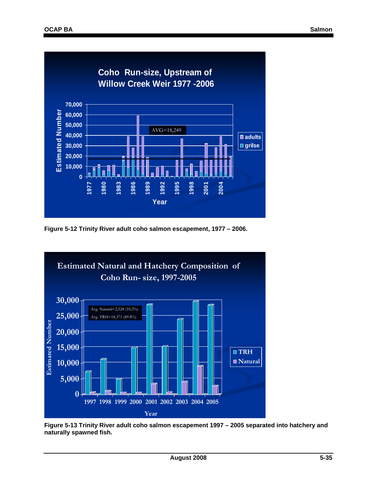

**Figure 5-12 Trinity River adult coho salmon escapement, 1977 – 2006.** 



**Figure 5-13 Trinity River adult coho salmon escapement 1997 – 2005 separated into hatchery and naturally spawned fish.**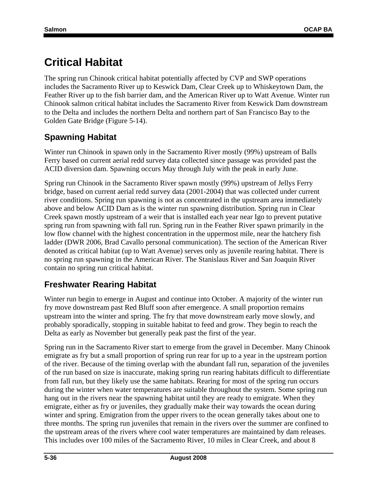# **Critical Habitat**

The spring run Chinook critical habitat potentially affected by CVP and SWP operations includes the Sacramento River up to Keswick Dam, Clear Creek up to Whiskeytown Dam, the Feather River up to the fish barrier dam, and the American River up to Watt Avenue. Winter run Chinook salmon critical habitat includes the Sacramento River from Keswick Dam downstream to the Delta and includes the northern Delta and northern part of San Francisco Bay to the Golden Gate Bridge (Figure 5-14).

## **Spawning Habitat**

Winter run Chinook in spawn only in the Sacramento River mostly (99%) upstream of Balls Ferry based on current aerial redd survey data collected since passage was provided past the ACID diversion dam. Spawning occurs May through July with the peak in early June.

Spring run Chinook in the Sacramento River spawn mostly (99%) upstream of Jellys Ferry bridge, based on current aerial redd survey data (2001-2004) that was collected under current river conditions. Spring run spawning is not as concentrated in the upstream area immediately above and below ACID Dam as is the winter run spawning distribution. Spring run in Clear Creek spawn mostly upstream of a weir that is installed each year near Igo to prevent putative spring run from spawning with fall run. Spring run in the Feather River spawn primarily in the low flow channel with the highest concentration in the uppermost mile, near the hatchery fish ladder (DWR 2006, Brad Cavallo personal communication). The section of the American River denoted as critical habitat (up to Watt Avenue) serves only as juvenile rearing habitat. There is no spring run spawning in the American River. The Stanislaus River and San Joaquin River contain no spring run critical habitat.

## **Freshwater Rearing Habitat**

Winter run begin to emerge in August and continue into October. A majority of the winter run fry move downstream past Red Bluff soon after emergence. A small proportion remains upstream into the winter and spring. The fry that move downstream early move slowly, and probably sporadically, stopping in suitable habitat to feed and grow. They begin to reach the Delta as early as November but generally peak past the first of the year.

Spring run in the Sacramento River start to emerge from the gravel in December. Many Chinook emigrate as fry but a small proportion of spring run rear for up to a year in the upstream portion of the river. Because of the timing overlap with the abundant fall run, separation of the juveniles of the run based on size is inaccurate, making spring run rearing habitats difficult to differentiate from fall run, but they likely use the same habitats. Rearing for most of the spring run occurs during the winter when water temperatures are suitable throughout the system. Some spring run hang out in the rivers near the spawning habitat until they are ready to emigrate. When they emigrate, either as fry or juveniles, they gradually make their way towards the ocean during winter and spring. Emigration from the upper rivers to the ocean generally takes about one to three months. The spring run juveniles that remain in the rivers over the summer are confined to the upstream areas of the rivers where cool water temperatures are maintained by dam releases. This includes over 100 miles of the Sacramento River, 10 miles in Clear Creek, and about 8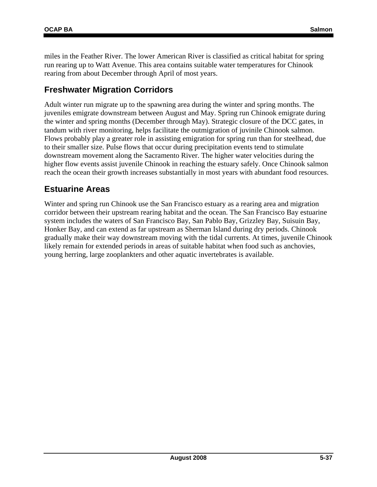miles in the Feather River. The lower American River is classified as critical habitat for spring run rearing up to Watt Avenue. This area contains suitable water temperatures for Chinook rearing from about December through April of most years.

### **Freshwater Migration Corridors**

Adult winter run migrate up to the spawning area during the winter and spring months. The juveniles emigrate downstream between August and May. Spring run Chinook emigrate during the winter and spring months (December through May). Strategic closure of the DCC gates, in tandum with river monitoring, helps facilitate the outmigration of juvinile Chinook salmon. Flows probably play a greater role in assisting emigration for spring run than for steelhead, due to their smaller size. Pulse flows that occur during precipitation events tend to stimulate downstream movement along the Sacramento River. The higher water velocities during the higher flow events assist juvenile Chinook in reaching the estuary safely. Once Chinook salmon reach the ocean their growth increases substantially in most years with abundant food resources.

### **Estuarine Areas**

Winter and spring run Chinook use the San Francisco estuary as a rearing area and migration corridor between their upstream rearing habitat and the ocean. The San Francisco Bay estuarine system includes the waters of San Francisco Bay, San Pablo Bay, Grizzley Bay, Suisuin Bay, Honker Bay, and can extend as far upstream as Sherman Island during dry periods. Chinook gradually make their way downstream moving with the tidal currents. At times, juvenile Chinook likely remain for extended periods in areas of suitable habitat when food such as anchovies, young herring, large zooplankters and other aquatic invertebrates is available.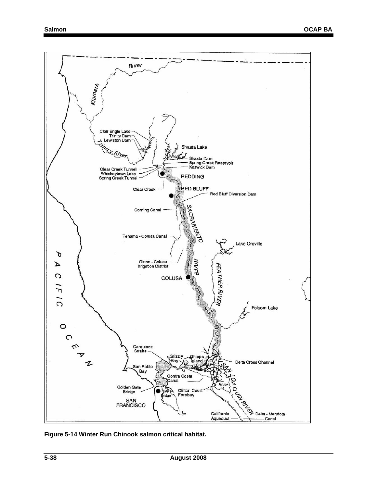

**Figure 5-14 Winter Run Chinook salmon critical habitat.**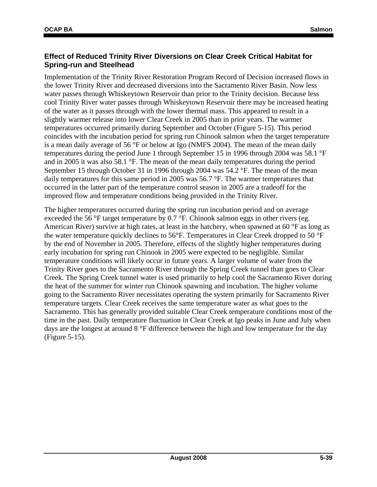#### **Effect of Reduced Trinity River Diversions on Clear Creek Critical Habitat for Spring-run and Steelhead**

Implementation of the Trinity River Restoration Program Record of Decision increased flows in the lower Trinity River and decreased diversions into the Sacramento River Basin. Now less water passes through Whiskeytown Reservoir than prior to the Trinity decision. Because less cool Trinity River water passes through Whiskeytown Reservoir there may be increased heating of the water as it passes through with the lower thermal mass. This appeared to result in a slightly warmer release into lower Clear Creek in 2005 than in prior years. The warmer temperatures occurred primarily during September and October (Figure 5-15). This period coincides with the incubation period for spring run Chinook salmon when the target temperature is a mean daily average of 56 °F or below at Igo (NMFS 2004). The mean of the mean daily temperatures during the period June 1 through September 15 in 1996 through 2004 was 58.1 °F and in 2005 it was also 58.1 °F. The mean of the mean daily temperatures during the period September 15 through October 31 in 1996 through 2004 was 54.2 °F. The mean of the mean daily temperatures for this same period in 2005 was 56.7 °F. The warmer temperatures that occurred in the latter part of the temperature control season in 2005 are a tradeoff for the improved flow and temperature conditions being provided in the Trinity River.

The higher temperatures occurred during the spring run incubation period and on average exceeded the 56 °F target temperature by 0.7 °F. Chinook salmon eggs in other rivers (eg. American River) survive at high rates, at least in the hatchery, when spawned at 60 °F as long as the water temperature quickly declines to 56°F. Temperatures in Clear Creek dropped to 50 °F by the end of November in 2005. Therefore, effects of the slightly higher temperatures during early incubation for spring run Chinook in 2005 were expected to be negligible. Similar temperature conditions will likely occur in future years. A larger volume of water from the Trinity River goes to the Sacramento River through the Spring Creek tunnel than goes to Clear Creek. The Spring Creek tunnel water is used primarily to help cool the Sacramento River during the heat of the summer for winter run Chinook spawning and incubation. The higher volume going to the Sacramento River necessitates operating the system primarily for Sacramento River temperature targets. Clear Creek receives the same temperature water as what goes to the Sacramento. This has generally provided suitable Clear Creek temperature conditions most of the time in the past. Daily temperature fluctuation in Clear Creek at Igo peaks in June and July when days are the longest at around 8 °F difference between the high and low temperature for the day (Figure 5-15).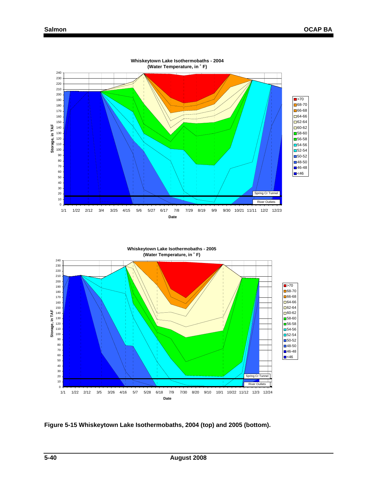

**Whiskeytown Lake Isothermobaths - 2004**

**Figure 5-15 Whiskeytown Lake Isothermobaths, 2004 (top) and 2005 (bottom).**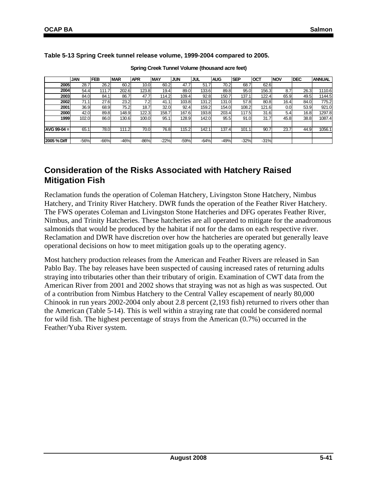| Spring Creek Tunnel Volume (thousand acre feet) |        |            |            |            |            |            |            |            |            |        |                  |            |               |
|-------------------------------------------------|--------|------------|------------|------------|------------|------------|------------|------------|------------|--------|------------------|------------|---------------|
|                                                 | JAN    | <b>FEB</b> | <b>MAR</b> | <b>APR</b> | <b>MAY</b> | <b>JUN</b> | <b>JUL</b> | <b>AUG</b> | <b>SEP</b> | Іост   | <b>NOV</b>       | <b>DEC</b> | <b>ANNUAL</b> |
| 2005                                            | 28.7   | 26.2       | 60.2       | 10.0       | 60.2       | 47.7       | 51.7       | 70.2       | 68.7       | 62.6   |                  |            |               |
| 2004                                            | 54.4   | 111.7      | 202.6      | 123.8      | 19.4       | 89.0       | 133.6      | 89.8       | 95.0       | 156.3  | 8.7              | 26.3       | 1110.6        |
| 2003                                            | 84.0   | 84.1       | 86.7       | 47.7       | 114.2      | 109.4      | 92.8       | 150.7      | 137.1      | 122.4  | 65.9             | 49.5       | 1144.5        |
| 2002                                            | 71.1   | 27.6       | 23.2       | 7.2        | 41.1       | 103.8      | 131.2      | 131.0      | 57.8       | 80.8   | 16.4             | 84.0       | 775.2         |
| 2001                                            | 36.9   | 68.9       | 75.2       | 18.7       | 32.0       | 92.4       | 159.2      | 154.0      | 108.2      | 121.6  | 0.0 <sub>l</sub> | 53.9       | 921.0         |
| 2000                                            | 42.0   | 89.8       | 148.9      | 122.3      | 158.7      | 167.6      | 193.8      | 203.4      | 117.5      | 31.6   | 5.4              | 16.8       | 1297.8        |
| 1999                                            | 102.0  | 86.0       | 130.6      | 100.0      | 95.1       | 128.9      | 142.0      | 95.5       | 91.0       | 31.7   | 45.8             | 38.8       | 1087.4        |
|                                                 |        |            |            |            |            |            |            |            |            |        |                  |            |               |
| $AVG$ 99-04 =                                   | 65.1   | 78.0       | 111.2      | 70.0       | 76.8       | 115.2      | 142.1      | 137.4      | 101.1      | 90.7   | 23.7             | 44.9       | 1056.1        |
|                                                 |        |            |            |            |            |            |            |            |            |        |                  |            |               |
| 2005 % Diff                                     | $-56%$ | $-66%$     | $-46%$     | $-86%$     | $-22%$     | $-59%$     | $-64%$     | $-49%$     | $-32%$     | $-31%$ |                  |            |               |

**Table 5-13 Spring Creek tunnel release volume, 1999-2004 compared to 2005.** 

**Spring Creek Tunnel Volume (thousand acre feet)**

### **Consideration of the Risks Associated with Hatchery Raised Mitigation Fish**

Reclamation funds the operation of Coleman Hatchery, Livingston Stone Hatchery, Nimbus Hatchery, and Trinity River Hatchery. DWR funds the operation of the Feather River Hatchery. The FWS operates Coleman and Livingston Stone Hatcheries and DFG operates Feather River, Nimbus, and Trinity Hatcheries. These hatcheries are all operated to mitigate for the anadromous salmonids that would be produced by the habitat if not for the dams on each respective river. Reclamation and DWR have discretion over how the hatcheries are operated but generally leave operational decisions on how to meet mitigation goals up to the operating agency.

Most hatchery production releases from the American and Feather Rivers are released in San Pablo Bay. The bay releases have been suspected of causing increased rates of returning adults straying into tributaries other than their tributary of origin. Examination of CWT data from the American River from 2001 and 2002 shows that straying was not as high as was suspected. Out of a contribution from Nimbus Hatchery to the Central Valley escapement of nearly 80,000 Chinook in run years 2002-2004 only about 2.8 percent (2,193 fish) returned to rivers other than the American (Table 5-14). This is well within a straying rate that could be considered normal for wild fish. The highest percentage of strays from the American (0.7%) occurred in the Feather/Yuba River system.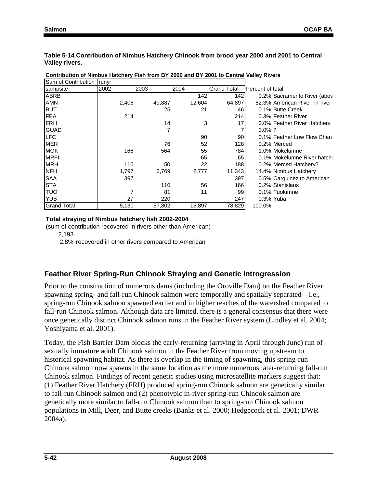**Table 5-14 Contribution of Nimbus Hatchery Chinook from brood year 2000 and 2001 to Central Valley rivers.** 

| Sum of Contribution Trunyr |      |       |        |        |                    |                                |
|----------------------------|------|-------|--------|--------|--------------------|--------------------------------|
| sampsite                   | 2002 |       | 2003   | 2004   | <b>Grand Total</b> | Percent of total               |
| <b>ABRB</b>                |      |       |        | 142    | 142                | 0.2% Sacramento River (abov    |
| <b>AMN</b>                 |      | 2,406 | 49,887 | 12,604 | 64,897             | 82.3% American River, in-river |
| Ibut                       |      |       | 25     | 21     | 46                 | 0.1% Butte Creek               |
| <b>FEA</b>                 |      | 214   |        |        | 214                | 0.3% Feather River             |
| IFRH                       |      |       | 14     | 3      | 17                 | 0.0% Feather River Hatchery    |
| <b>GUAD</b>                |      |       | 7      |        |                    | $0.0\%$ ?                      |
| ILFC                       |      |       |        | 90     | 90                 | 0.1% Feather Low Flow Chan     |
| MER                        |      |       | 76     | 52     | 128                | 0.2% Merced                    |
| <b>MOK</b>                 |      | 166   | 564    | 55     | 784                | 1.0% Mokelumne                 |
| IMRFI                      |      |       |        | 65     | 65                 | 0.1% Mokelumne River hatch     |
| <b>IMRH</b>                |      | 116   | 50     | 22     | 188                | 0.2% Merced Hatchery?          |
| <b>INFH</b>                |      | 1,797 | 6,769  | 2,777  | 11,343             | 14.4% Nimbus Hatchery          |
| <b>SAA</b>                 |      | 397   |        |        | 397                | 0.5% Carquinez to American     |
| <b>STA</b>                 |      |       | 110    | 56     | 166                | 0.2% Stanislaus                |
| ltuo                       |      |       | 81     | 11     | 99                 | 0.1% Tuolumne                  |
| <b>YUB</b>                 |      | 27    | 220    |        | 247                | $0.3\%$ Yuba                   |
| <b>Grand Total</b>         |      | 5,130 | 57,802 | 15,897 | 78,829             | 100.0%                         |

**Contribution of Nimbus Hatchery Fish from BY 2000 and BY 2001 to Central Valley Rivers**

#### **Total straying of Nimbus hatchery fish 2002-2004**

(sum of contribution recovered in rivers other than American)

2,193

2.8% recovered in other rivers compared to American

### **Feather River Spring-Run Chinook Straying and Genetic Introgression**

Prior to the construction of numerous dams (including the Oroville Dam) on the Feather River, spawning spring- and fall-run Chinook salmon were temporally and spatially separated—i.e., spring-run Chinook salmon spawned earlier and in higher reaches of the watershed compared to fall-run Chinook salmon. Although data are limited, there is a general consensus that there were once genetically distinct Chinook salmon runs in the Feather River system (Lindley et al. 2004; Yoshiyama et al. 2001).

Today, the Fish Barrier Dam blocks the early-returning (arriving in April through June) run of sexually immature adult Chinook salmon in the Feather River from moving upstream to historical spawning habitat. As there is overlap in the timing of spawning, this spring-run Chinook salmon now spawns in the same location as the more numerous later-returning fall-run Chinook salmon. Findings of recent genetic studies using microsatellite markers suggest that: (1) Feather River Hatchery (FRH) produced spring-run Chinook salmon are genetically similar to fall-run Chinook salmon and (2) phenotypic in-river spring-run Chinook salmon are genetically more similar to fall-run Chinook salmon than to spring-run Chinook salmon populations in Mill, Deer, and Butte creeks (Banks et al. 2000; Hedgecock et al. 2001; DWR 2004a).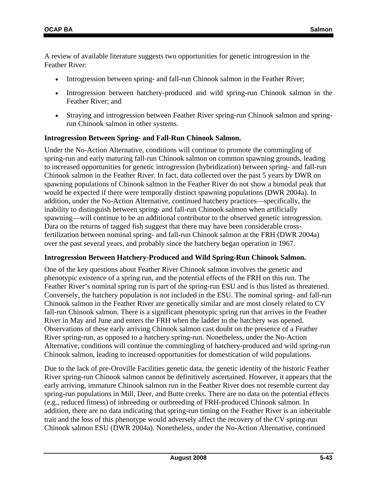A review of available literature suggests two opportunities for genetic introgression in the Feather River:

- Introgression between spring- and fall-run Chinook salmon in the Feather River;
- Introgression between hatchery-produced and wild spring-run Chinook salmon in the Feather River; and
- Straying and introgression between Feather River spring-run Chinook salmon and springrun Chinook salmon in other systems.

#### **Introgression Between Spring- and Fall-Run Chinook Salmon.**

Under the No-Action Alternative, conditions will continue to promote the commingling of spring-run and early maturing fall-run Chinook salmon on common spawning grounds, leading to increased opportunities for genetic introgression (hybridization) between spring- and fall-run Chinook salmon in the Feather River. In fact, data collected over the past 5 years by DWR on spawning populations of Chinook salmon in the Feather River do not show a bimodal peak that would be expected if there were temporally distinct spawning populations (DWR 2004a). In addition, under the No-Action Alternative, continued hatchery practices—specifically, the inability to distinguish between spring- and fall-run Chinook salmon when artificially spawning—will continue to be an additional contributor to the observed genetic introgression. Data on the returns of tagged fish suggest that there may have been considerable crossfertilization between nominal spring- and fall-run Chinook salmon at the FRH (DWR 2004a) over the past several years, and probably since the hatchery began operation in 1967.

#### **Introgression Between Hatchery-Produced and Wild Spring-Run Chinook Salmon.**

One of the key questions about Feather River Chinook salmon involves the genetic and phenotypic existence of a spring run, and the potential effects of the FRH on this run. The Feather River's nominal spring run is part of the spring-run ESU and is thus listed as threatened. Conversely, the hatchery population is not included in the ESU. The nominal spring- and fall-run Chinook salmon in the Feather River are genetically similar and are most closely related to CV fall-run Chinook salmon. There is a significant phenotypic spring run that arrives in the Feather River in May and June and enters the FRH when the ladder to the hatchery was opened. Observations of these early arriving Chinook salmon cast doubt on the presence of a Feather River spring-run, as opposed to a hatchery spring-run. Nonetheless, under the No-Action Alternative, conditions will continue the commingling of hatchery-produced and wild spring-run Chinook salmon, leading to increased opportunities for domestication of wild populations.

Due to the lack of pre-Oroville Facilities genetic data, the genetic identity of the historic Feather River spring-run Chinook salmon cannot be definitively ascertained. However, it appears that the early arriving, immature Chinook salmon run in the Feather River does not resemble current day spring-run populations in Mill, Deer, and Butte creeks. There are no data on the potential effects (e.g., reduced fitness) of inbreeding or outbreeding of FRH-produced Chinook salmon. In addition, there are no data indicating that spring-run timing on the Feather River is an inheritable trait and the loss of this phenotype would adversely affect the recovery of the CV spring-run Chinook salmon ESU (DWR 2004a). Nonetheless, under the No-Action Alternative, continued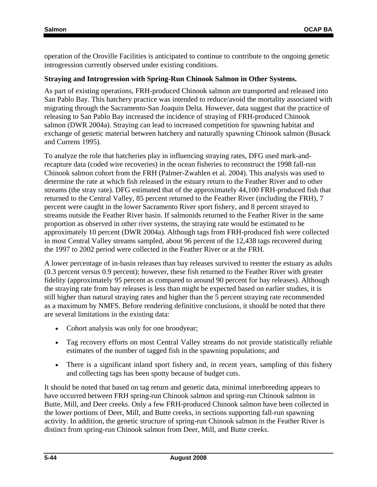operation of the Oroville Facilities is anticipated to continue to contribute to the ongoing genetic introgression currently observed under existing conditions.

#### **Straying and Introgression with Spring-Run Chinook Salmon in Other Systems.**

As part of existing operations, FRH-produced Chinook salmon are transported and released into San Pablo Bay. This hatchery practice was intended to reduce/avoid the mortality associated with migrating through the Sacramento-San Joaquin Delta. However, data suggest that the practice of releasing to San Pablo Bay increased the incidence of straying of FRH-produced Chinook salmon (DWR 2004a). Straying can lead to increased competition for spawning habitat and exchange of genetic material between hatchery and naturally spawning Chinook salmon (Busack and Currens 1995).

To analyze the role that hatcheries play in influencing straying rates, DFG used mark-andrecapture data (coded wire recoveries) in the ocean fisheries to reconstruct the 1998 fall-run Chinook salmon cohort from the FRH (Palmer-Zwahlen et al. 2004). This analysis was used to determine the rate at which fish released in the estuary return to the Feather River and to other streams (the stray rate). DFG estimated that of the approximately 44,100 FRH-produced fish that returned to the Central Valley, 85 percent returned to the Feather River (including the FRH), 7 percent were caught in the lower Sacramento River sport fishery, and 8 percent strayed to streams outside the Feather River basin. If salmonids returned to the Feather River in the same proportion as observed in other river systems, the straying rate would be estimated to be approximately 10 percent (DWR 2004a). Although tags from FRH-produced fish were collected in most Central Valley streams sampled, about 96 percent of the 12,438 tags recovered during the 1997 to 2002 period were collected in the Feather River or at the FRH.

A lower percentage of in-basin releases than bay releases survived to reenter the estuary as adults (0.3 percent versus 0.9 percent); however, these fish returned to the Feather River with greater fidelity (approximately 95 percent as compared to around 90 percent for bay releases). Although the straying rate from bay releases is less than might be expected based on earlier studies, it is still higher than natural straying rates and higher than the 5 percent straying rate recommended as a maximum by NMFS. Before rendering definitive conclusions, it should be noted that there are several limitations in the existing data:

- Cohort analysis was only for one broodyear;
- Tag recovery efforts on most Central Valley streams do not provide statistically reliable estimates of the number of tagged fish in the spawning populations; and
- There is a significant inland sport fishery and, in recent years, sampling of this fishery and collecting tags has been spotty because of budget cuts.

It should be noted that based on tag return and genetic data, minimal interbreeding appears to have occurred between FRH spring-run Chinook salmon and spring-run Chinook salmon in Butte, Mill, and Deer creeks. Only a few FRH-produced Chinook salmon have been collected in the lower portions of Deer, Mill, and Butte creeks, in sections supporting fall-run spawning activity. In addition, the genetic structure of spring-run Chinook salmon in the Feather River is distinct from spring-run Chinook salmon from Deer, Mill, and Butte creeks.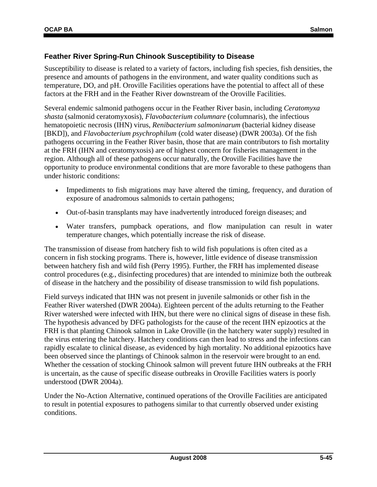#### **Feather River Spring-Run Chinook Susceptibility to Disease**

Susceptibility to disease is related to a variety of factors, including fish species, fish densities, the presence and amounts of pathogens in the environment, and water quality conditions such as temperature, DO, and pH. Oroville Facilities operations have the potential to affect all of these factors at the FRH and in the Feather River downstream of the Oroville Facilities.

Several endemic salmonid pathogens occur in the Feather River basin, including *Ceratomyxa shasta* (salmonid ceratomyxosis), *Flavobacterium columnare* (columnaris), the infectious hematopoietic necrosis (IHN) virus, *Renibacterium salmoninarum* (bacterial kidney disease [BKD]), and *Flavobacterium psychrophilum* (cold water disease) (DWR 2003a). Of the fish pathogens occurring in the Feather River basin, those that are main contributors to fish mortality at the FRH (IHN and ceratomyxosis) are of highest concern for fisheries management in the region. Although all of these pathogens occur naturally, the Oroville Facilities have the opportunity to produce environmental conditions that are more favorable to these pathogens than under historic conditions:

- Impediments to fish migrations may have altered the timing, frequency, and duration of exposure of anadromous salmonids to certain pathogens;
- Out-of-basin transplants may have inadvertently introduced foreign diseases; and
- Water transfers, pumpback operations, and flow manipulation can result in water temperature changes, which potentially increase the risk of disease.

The transmission of disease from hatchery fish to wild fish populations is often cited as a concern in fish stocking programs. There is, however, little evidence of disease transmission between hatchery fish and wild fish (Perry 1995). Further, the FRH has implemented disease control procedures (e.g., disinfecting procedures) that are intended to minimize both the outbreak of disease in the hatchery and the possibility of disease transmission to wild fish populations.

Field surveys indicated that IHN was not present in juvenile salmonids or other fish in the Feather River watershed (DWR 2004a). Eighteen percent of the adults returning to the Feather River watershed were infected with IHN, but there were no clinical signs of disease in these fish. The hypothesis advanced by DFG pathologists for the cause of the recent IHN epizootics at the FRH is that planting Chinook salmon in Lake Oroville (in the hatchery water supply) resulted in the virus entering the hatchery. Hatchery conditions can then lead to stress and the infections can rapidly escalate to clinical disease, as evidenced by high mortality. No additional epizootics have been observed since the plantings of Chinook salmon in the reservoir were brought to an end. Whether the cessation of stocking Chinook salmon will prevent future IHN outbreaks at the FRH is uncertain, as the cause of specific disease outbreaks in Oroville Facilities waters is poorly understood (DWR 2004a).

Under the No-Action Alternative, continued operations of the Oroville Facilities are anticipated to result in potential exposures to pathogens similar to that currently observed under existing conditions.